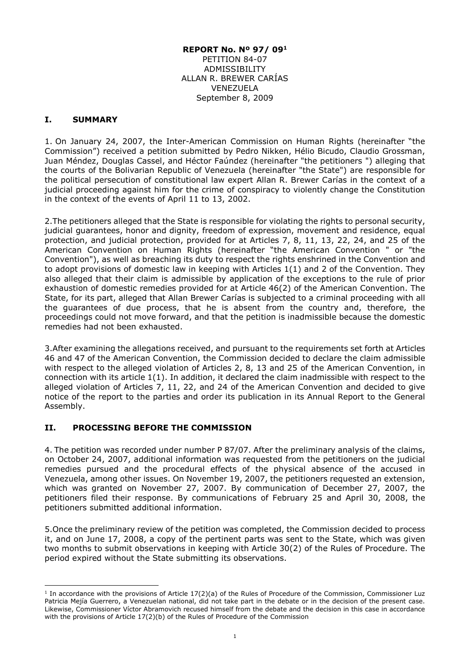#### **REPORT No. Nº 97/ 09<sup>1</sup>** PETITION 84-07 ADMISSIBILITY ALLAN R. BREWER CARÍAS VENEZUELA September 8, 2009

### **I. SUMMARY**

-

1. On January 24, 2007, the Inter-American Commission on Human Rights (hereinafter "the Commission") received a petition submitted by Pedro Nikken, Hélio Bicudo, Claudio Grossman, Juan Méndez, Douglas Cassel, and Héctor Faúndez (hereinafter "the petitioners ") alleging that the courts of the Bolivarian Republic of Venezuela (hereinafter "the State") are responsible for the political persecution of constitutional law expert Allan R. Brewer Carías in the context of a judicial proceeding against him for the crime of conspiracy to violently change the Constitution in the context of the events of April 11 to 13, 2002.

2.The petitioners alleged that the State is responsible for violating the rights to personal security, judicial guarantees, honor and dignity, freedom of expression, movement and residence, equal protection, and judicial protection, provided for at Articles 7, 8, 11, 13, 22, 24, and 25 of the American Convention on Human Rights (hereinafter "the American Convention " or "the Convention"), as well as breaching its duty to respect the rights enshrined in the Convention and to adopt provisions of domestic law in keeping with Articles 1(1) and 2 of the Convention. They also alleged that their claim is admissible by application of the exceptions to the rule of prior exhaustion of domestic remedies provided for at Article 46(2) of the American Convention. The State, for its part, alleged that Allan Brewer Carías is subjected to a criminal proceeding with all the guarantees of due process, that he is absent from the country and, therefore, the proceedings could not move forward, and that the petition is inadmissible because the domestic remedies had not been exhausted.

3.After examining the allegations received, and pursuant to the requirements set forth at Articles 46 and 47 of the American Convention, the Commission decided to declare the claim admissible with respect to the alleged violation of Articles 2, 8, 13 and 25 of the American Convention, in connection with its article 1(1). In addition, it declared the claim inadmissible with respect to the alleged violation of Articles 7, 11, 22, and 24 of the American Convention and decided to give notice of the report to the parties and order its publication in its Annual Report to the General Assembly.

# **II. PROCESSING BEFORE THE COMMISSION**

4. The petition was recorded under number P 87/07. After the preliminary analysis of the claims, on October 24, 2007, additional information was requested from the petitioners on the judicial remedies pursued and the procedural effects of the physical absence of the accused in Venezuela, among other issues. On November 19, 2007, the petitioners requested an extension, which was granted on November 27, 2007. By communication of December 27, 2007, the petitioners filed their response. By communications of February 25 and April 30, 2008, the petitioners submitted additional information.

5.Once the preliminary review of the petition was completed, the Commission decided to process it, and on June 17, 2008, a copy of the pertinent parts was sent to the State, which was given two months to submit observations in keeping with Article 30(2) of the Rules of Procedure. The period expired without the State submitting its observations.

<sup>&</sup>lt;sup>1</sup> In accordance with the provisions of Article 17(2)(a) of the Rules of Procedure of the Commission, Commissioner Luz Patricia Mejía Guerrero, a Venezuelan national, did not take part in the debate or in the decision of the present case. Likewise, Commissioner Víctor Abramovich recused himself from the debate and the decision in this case in accordance with the provisions of Article 17(2)(b) of the Rules of Procedure of the Commission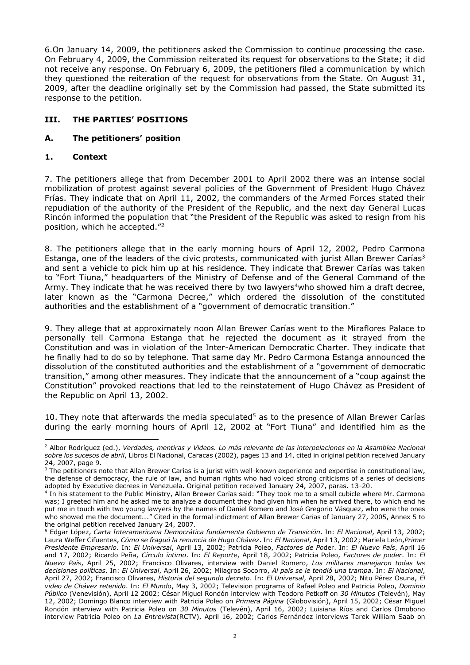6.On January 14, 2009, the petitioners asked the Commission to continue processing the case. On February 4, 2009, the Commission reiterated its request for observations to the State; it did not receive any response. On February 6, 2009, the petitioners filed a communication by which they questioned the reiteration of the request for observations from the State. On August 31, 2009, after the deadline originally set by the Commission had passed, the State submitted its response to the petition.

## **III. THE PARTIES' POSITIONS**

### **A. The petitioners' position**

### **1. Context**

-

7. The petitioners allege that from December 2001 to April 2002 there was an intense social mobilization of protest against several policies of the Government of President Hugo Chávez Frías. They indicate that on April 11, 2002, the commanders of the Armed Forces stated their repudiation of the authority of the President of the Republic, and the next day General Lucas Rincón informed the population that "the President of the Republic was asked to resign from his position, which he accepted."<sup>2</sup>

8. The petitioners allege that in the early morning hours of April 12, 2002, Pedro Carmona Estanga, one of the leaders of the civic protests, communicated with jurist Allan Brewer Carías<sup>3</sup> and sent a vehicle to pick him up at his residence. They indicate that Brewer Carías was taken to "Fort Tiuna," headquarters of the Ministry of Defense and of the General Command of the Army. They indicate that he was received there by two lawyers<sup>4</sup>who showed him a draft decree, later known as the "Carmona Decree," which ordered the dissolution of the constituted authorities and the establishment of a "government of democratic transition."

9. They allege that at approximately noon Allan Brewer Carías went to the Miraflores Palace to personally tell Carmona Estanga that he rejected the document as it strayed from the Constitution and was in violation of the Inter-American Democratic Charter. They indicate that he finally had to do so by telephone. That same day Mr. Pedro Carmona Estanga announced the dissolution of the constituted authorities and the establishment of a "government of democratic transition," among other measures. They indicate that the announcement of a "coup against the Constitution" provoked reactions that led to the reinstatement of Hugo Chávez as President of the Republic on April 13, 2002.

10. They note that afterwards the media speculated<sup>5</sup> as to the presence of Allan Brewer Carías during the early morning hours of April 12, 2002 at "Fort Tiuna" and identified him as the

<sup>2</sup> Albor Rodríguez (ed.), *Verdades, mentiras y Videos. Lo más relevante de las interpelaciones en la Asamblea Nacional sobre los sucesos de abril*, Libros El Nacional, Caracas (2002), pages 13 and 14, cited in original petition received January 24, 2007, page 9.

<sup>&</sup>lt;sup>3</sup> The petitioners note that Allan Brewer Carías is a jurist with well-known experience and expertise in constitutional law, the defense of democracy, the rule of law, and human rights who had voiced strong criticisms of a series of decisions adopted by Executive decrees in Venezuela. Original petition received January 24, 2007, paras. 13-20.

<sup>4</sup> In his statement to the Public Ministry, Allan Brewer Carías said: "They took me to a small cubicle where Mr. Carmona was; I greeted him and he asked me to analyze a document they had given him when he arrived there, to which end he put me in touch with two young lawyers by the names of Daniel Romero and José Gregorio Vásquez, who were the ones who showed me the document…." Cited in the formal indictment of Allan Brewer Carías of January 27, 2005, Annex 5 to the original petition received January 24, 2007.

<sup>5</sup> Edgar López, *Carta Interamericana Democrática fundamenta Gobierno de Transición*. In: *El Nacional*, April 13, 2002; Laura Weffer Cifuentes, *Cómo se fraguó la renuncia de Hugo Chávez*. In: *El Nacional*, April 13, 2002; Mariela León,*Primer Presidente Empresario*. In: *El Universal*, April 13, 2002; Patricia Poleo, *Factores de Po*der. In: *El Nuevo País*, April 16 and 17, 2002; Ricardo Peña, *Círculo íntimo*. In: *El Reporte*, April 18, 2002; Patricia Poleo, *Factores de poder*. In: *El Nuevo País*, April 25, 2002; Francisco Olivares, interview with Daniel Romero, *Los militares manejaron todas las decisiones políticas*. In: *El Universal*, April 26, 2002; Milagros Socorro, *Al país se le tendió una trampa*. In: *El Nacional*, April 27, 2002; Francisco Olivares, *Historia del segundo decreto*. In: *El Universal*, April 28, 2002; Nitu Pérez Osuna, *El video de Chávez retenido*. In: *El Mundo*, May 3, 2002; Television programs of Rafael Poleo and Patricia Poleo, *Dominio Público* (Venevisión), April 12 2002; César Miguel Rondón interview with Teodoro Petkoff on *30 Minutos* (Televén), May 12, 2002; Domingo Blanco interview with Patricia Poleo on *Primera Página* (Globovisión), April 15, 2002; César Miguel Rondón interview with Patricia Poleo on *30 Minutos* (Televén), April 16, 2002; Luisiana Ríos and Carlos Omobono interview Patricia Poleo on *La Entrevista*(RCTV), April 16, 2002; Carlos Fernández interviews Tarek William Saab on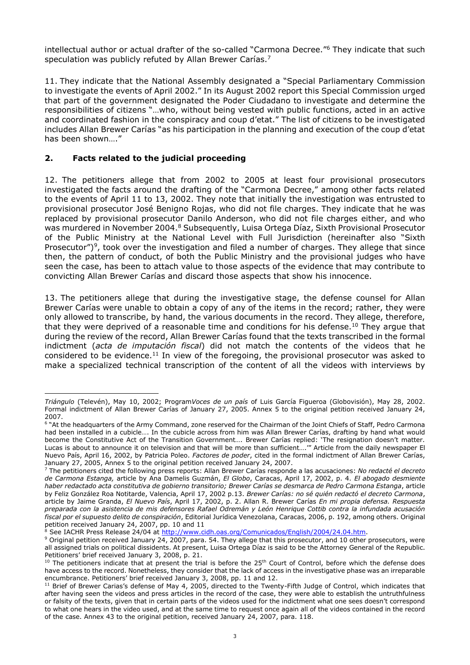intellectual author or actual drafter of the so-called "Carmona Decree."<sup>6</sup> They indicate that such speculation was publicly refuted by Allan Brewer Carías.<sup>7</sup>

11. They indicate that the National Assembly designated a "Special Parliamentary Commission to investigate the events of April 2002." In its August 2002 report this Special Commission urged that part of the government designated the Poder Ciudadano to investigate and determine the responsibilities of citizens "…who, without being vested with public functions, acted in an active and coordinated fashion in the conspiracy and coup d'etat." The list of citizens to be investigated includes Allan Brewer Carías "as his participation in the planning and execution of the coup d'etat has been shown…."

## **2. Facts related to the judicial proceeding**

12. The petitioners allege that from 2002 to 2005 at least four provisional prosecutors investigated the facts around the drafting of the "Carmona Decree," among other facts related to the events of April 11 to 13, 2002. They note that initially the investigation was entrusted to provisional prosecutor José Benigno Rojas, who did not file charges. They indicate that he was replaced by provisional prosecutor Danilo Anderson, who did not file charges either, and who was murdered in November 2004.<sup>8</sup> Subsequently, Luisa Ortega Díaz, Sixth Provisional Prosecutor of the Public Ministry at the National Level with Full Jurisdiction (hereinafter also "Sixth Prosecutor")<sup>9</sup>, took over the investigation and filed a number of charges. They allege that since then, the pattern of conduct, of both the Public Ministry and the provisional judges who have seen the case, has been to attach value to those aspects of the evidence that may contribute to convicting Allan Brewer Carías and discard those aspects that show his innocence.

13. The petitioners allege that during the investigative stage, the defense counsel for Allan Brewer Carías were unable to obtain a copy of any of the items in the record; rather, they were only allowed to transcribe, by hand, the various documents in the record. They allege, therefore, that they were deprived of a reasonable time and conditions for his defense.<sup>10</sup> They argue that during the review of the record, Allan Brewer Carías found that the texts transcribed in the formal indictment (*acta de imputación fiscal*) did not match the contents of the videos that he considered to be evidence.<sup>11</sup> In view of the foregoing, the provisional prosecutor was asked to make a specialized technical transcription of the content of all the videos with interviews by

<sup>8</sup> See IACHR Press Release 24/04 at <u>http://www.cidh.oas.org/Comunicados/English/2004/24.04.htm</u>.

<sup>-</sup>*Triángulo* (Televén), May 10, 2002; Program*Voces de un país* of Luis García Figueroa (Globovisión), May 28, 2002. Formal indictment of Allan Brewer Carías of January 27, 2005. Annex 5 to the original petition received January 24, 2007.

<sup>6</sup> "At the headquarters of the Army Command, zone reserved for the Chairman of the Joint Chiefs of Staff, Pedro Carmona had been installed in a cubicle…. In the cubicle across from him was Allan Brewer Carías, drafting by hand what would become the Constitutive Act of the Transition Government…. Brewer Carías replied: 'The resignation doesn't matter. Lucas is about to announce it on television and that will be more than sufficient….'" Article from the daily newspaper El Nuevo País, April 16, 2002, by Patricia Poleo. *Factores de poder*, cited in the formal indictment of Allan Brewer Carías, January 27, 2005, Annex 5 to the original petition received January 24, 2007.

<sup>7</sup> The petitioners cited the following press reports: Allan Brewer Carías responde a las acusaciones: *No redacté el decreto de Carmona Estanga,* article by Ana Damelis Guzmán, *El Globo*, Caracas, April 17, 2002, p. 4. *El abogado desmiente haber redactado acta constitutiva de gobierno transitorio; Brewer Carías se desmarca de Pedro Carmona Estanga*, article by Feliz González Roa Notitarde, Valencia, April 17, 2002 p.13. *Brewer Carías: no sé quién redactó el decreto Carmona*, article by Jaime Granda, *El Nuevo País*, April 17, 2002, p. 2. Allan R. Brewer Carías *En mi propia defensa. Respuesta preparada con la asistencia de mis defensores Rafael Odremán y León Henrique Cottib contra la infundada acusación fiscal por el supuesto delito de conspiración*, Editorial Jurídica Venezolana, Caracas, 2006, p. 192, among others. Original petition received January 24, 2007, pp. 10 and 11

 $9$  Original petition received January 24, 2007, para. 54. They allege that this prosecutor, and 10 other prosecutors, were all assigned trials on political dissidents. At present, Luisa Ortega Díaz is said to be the Attorney General of the Republic. Petitioners' brief received January 3, 2008, p. 21.

 $10$  The petitioners indicate that at present the trial is before the 25<sup>th</sup> Court of Control, before which the defense does have access to the record. Nonetheless, they consider that the lack of access in the investigative phase was an irreparable encumbrance. Petitioners' brief received January 3, 2008, pp. 11 and 12.

 $11$  Brief of Brewer Carias's defense of May 4, 2005, directed to the Twenty-Fifth Judge of Control, which indicates that after having seen the videos and press articles in the record of the case, they were able to establish the untruthfulness or falsity of the texts, given that in certain parts of the videos used for the indictment what one sees doesn't correspond to what one hears in the video used, and at the same time to request once again all of the videos contained in the record of the case. Annex 43 to the original petition, received January 24, 2007, para. 118.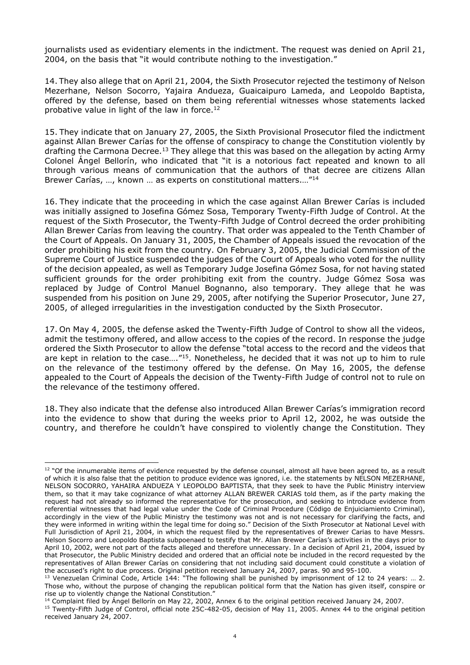journalists used as evidentiary elements in the indictment. The request was denied on April 21, 2004, on the basis that "it would contribute nothing to the investigation."

14. They also allege that on April 21, 2004, the Sixth Prosecutor rejected the testimony of Nelson Mezerhane, Nelson Socorro, Yajaira Andueza, Guaicaipuro Lameda, and Leopoldo Baptista, offered by the defense, based on them being referential witnesses whose statements lacked probative value in light of the law in force.<sup>12</sup>

15. They indicate that on January 27, 2005, the Sixth Provisional Prosecutor filed the indictment against Allan Brewer Carías for the offense of conspiracy to change the Constitution violently by drafting the Carmona Decree.<sup>13</sup> They allege that this was based on the allegation by acting Army Colonel Ángel Bellorín, who indicated that "it is a notorious fact repeated and known to all through various means of communication that the authors of that decree are citizens Allan Brewer Carías, …, known … as experts on constitutional matters.…"<sup>14</sup>

16. They indicate that the proceeding in which the case against Allan Brewer Carías is included was initially assigned to Josefina Gómez Sosa, Temporary Twenty-Fifth Judge of Control. At the request of the Sixth Prosecutor, the Twenty-Fifth Judge of Control decreed the order prohibiting Allan Brewer Carías from leaving the country. That order was appealed to the Tenth Chamber of the Court of Appeals. On January 31, 2005, the Chamber of Appeals issued the revocation of the order prohibiting his exit from the country. On February 3, 2005, the Judicial Commission of the Supreme Court of Justice suspended the judges of the Court of Appeals who voted for the nullity of the decision appealed, as well as Temporary Judge Josefina Gómez Sosa, for not having stated sufficient grounds for the order prohibiting exit from the country. Judge Gómez Sosa was replaced by Judge of Control Manuel Bognanno, also temporary. They allege that he was suspended from his position on June 29, 2005, after notifying the Superior Prosecutor, June 27, 2005, of alleged irregularities in the investigation conducted by the Sixth Prosecutor.

17. On May 4, 2005, the defense asked the Twenty-Fifth Judge of Control to show all the videos, admit the testimony offered, and allow access to the copies of the record. In response the judge ordered the Sixth Prosecutor to allow the defense "total access to the record and the videos that are kept in relation to the case...."<sup>15</sup>. Nonetheless, he decided that it was not up to him to rule on the relevance of the testimony offered by the defense. On May 16, 2005, the defense appealed to the Court of Appeals the decision of the Twenty-Fifth Judge of control not to rule on the relevance of the testimony offered.

18. They also indicate that the defense also introduced Allan Brewer Carías's immigration record into the evidence to show that during the weeks prior to April 12, 2002, he was outside the country, and therefore he couldn't have conspired to violently change the Constitution. They

-

<sup>14</sup> Complaint filed by Angel Bellorin on May 22, 2002, Annex 6 to the original petition received January 24, 2007.

<sup>&</sup>lt;sup>12</sup> "Of the innumerable items of evidence requested by the defense counsel, almost all have been agreed to, as a result of which it is also false that the petition to produce evidence was ignored, i.e. the statements by NELSON MEZERHANE, NELSON SOCORRO, YAHAIRA ANDUEZA Y LEOPOLDO BAPTISTA, that they seek to have the Public Ministry interview them, so that it may take cognizance of what attorney ALLAN BREWER CARIAS told them, as if the party making the request had not already so informed the representative for the prosecution, and seeking to introduce evidence from referential witnesses that had legal value under the Code of Criminal Procedure (Código de Enjuiciamiento Criminal), accordingly in the view of the Public Ministry the testimony was not and is not necessary for clarifying the facts, and they were informed in writing within the legal time for doing so." Decision of the Sixth Prosecutor at National Level with Full Jurisdiction of April 21, 2004, in which the request filed by the representatives of Brewer Carias to have Messrs. Nelson Socorro and Leopoldo Baptista subpoenaed to testify that Mr. Allan Brewer Carías's activities in the days prior to April 10, 2002, were not part of the facts alleged and therefore unnecessary. In a decision of April 21, 2004, issued by that Prosecutor, the Public Ministry decided and ordered that an official note be included in the record requested by the representatives of Allan Brewer Carías on considering that not including said document could constitute a violation of the accused's right to due process. Original petition received January 24, 2007, paras. 90 and 95-100.

<sup>13</sup> Venezuelan Criminal Code, Article 144: "The following shall be punished by imprisonment of 12 to 24 years: … 2. Those who, without the purpose of changing the republican political form that the Nation has given itself, conspire or rise up to violently change the National Constitution."

<sup>&</sup>lt;sup>15</sup> Twenty-Fifth Judge of Control, official note 25C-482-05, decision of May 11, 2005. Annex 44 to the original petition received January 24, 2007.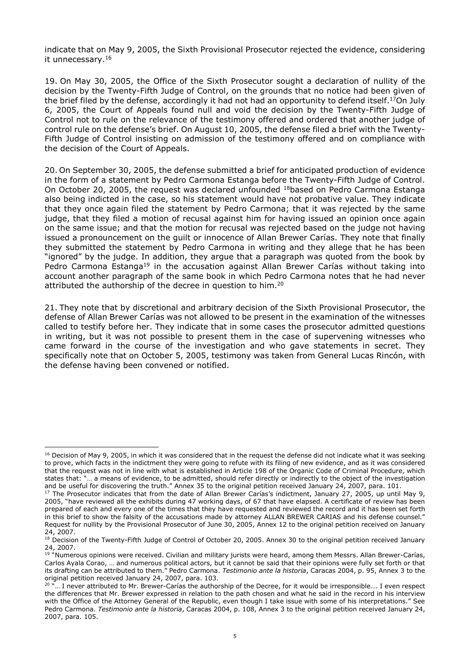indicate that on May 9, 2005, the Sixth Provisional Prosecutor rejected the evidence, considering it unnecessary.<sup>16</sup>

19. On May 30, 2005, the Office of the Sixth Prosecutor sought a declaration of nullity of the decision by the Twenty-Fifth Judge of Control, on the grounds that no notice had been given of the brief filed by the defense, accordingly it had not had an opportunity to defend itself.<sup>17</sup>On July 6, 2005, the Court of Appeals found null and void the decision by the Twenty-Fifth Judge of Control not to rule on the relevance of the testimony offered and ordered that another judge of control rule on the defense's brief. On August 10, 2005, the defense filed a brief with the Twenty-Fifth Judge of Control insisting on admission of the testimony offered and on compliance with the decision of the Court of Appeals.

20. On September 30, 2005, the defense submitted a brief for anticipated production of evidence in the form of a statement by Pedro Carmona Estanga before the Twenty-Fifth Judge of Control. On October 20, 2005, the request was declared unfounded <sup>18</sup>based on Pedro Carmona Estanga also being indicted in the case, so his statement would have not probative value. They indicate that they once again filed the statement by Pedro Carmona; that it was rejected by the same judge, that they filed a motion of recusal against him for having issued an opinion once again on the same issue; and that the motion for recusal was rejected based on the judge not having issued a pronouncement on the guilt or innocence of Allan Brewer Carías. They note that finally they submitted the statement by Pedro Carmona in writing and they allege that he has been "ignored" by the judge. In addition, they argue that a paragraph was quoted from the book by Pedro Carmona Estanga<sup>19</sup> in the accusation against Allan Brewer Carías without taking into account another paragraph of the same book in which Pedro Carmona notes that he had never attributed the authorship of the decree in question to him.<sup>20</sup>

21. They note that by discretional and arbitrary decision of the Sixth Provisional Prosecutor, the defense of Allan Brewer Carías was not allowed to be present in the examination of the witnesses called to testify before her. They indicate that in some cases the prosecutor admitted questions in writing, but it was not possible to present them in the case of supervening witnesses who came forward in the course of the investigation and who gave statements in secret. They specifically note that on October 5, 2005, testimony was taken from General Lucas Rincón, with the defense having been convened or notified.

<sup>&</sup>lt;sup>16</sup> Decision of May 9, 2005, in which it was considered that in the request the defense did not indicate what it was seeking to prove, which facts in the indictment they were going to refute with its filing of new evidence, and as it was considered that the request was not in line with what is established in Article 198 of the Organic Code of Criminal Procedure, which states that: "… a means of evidence, to be admitted, should refer directly or indirectly to the object of the investigation and be useful for discovering the truth." Annex 35 to the original petition received January 24, 2007, para. 101.

<sup>&</sup>lt;sup>17</sup> The Prosecutor indicates that from the date of Allan Brewer Carías's indictment, January 27, 2005, up until May 9, 2005, "have reviewed all the exhibits during 47 working days, of 67 that have elapsed. A certificate of review has been prepared of each and every one of the times that they have requested and reviewed the record and it has been set forth in this brief to show the falsity of the accusations made by attorney ALLAN BREWER CARIAS and his defense counsel." Request for nullity by the Provisional Prosecutor of June 30, 2005, Annex 12 to the original petition received on January 24, 2007.

<sup>&</sup>lt;sup>18</sup> Decision of the Twenty-Fifth Judge of Control of October 20, 2005. Annex 30 to the original petition received January 24, 2007.

<sup>&</sup>lt;sup>19 "</sup>Numerous opinions were received. Civilian and military jurists were heard, among them Messrs. Allan Brewer-Carías, Carlos Ayala Corao, … and numerous political actors, but it cannot be said that their opinions were fully set forth or that its drafting can be attributed to them." Pedro Carmona. *Testimonio ante la historia*, Caracas 2004, p. 95, Annex 3 to the original petition received January 24, 2007, para. 103.

<sup>&</sup>lt;sup>20 "</sup>... I never attributed to Mr. Brewer-Carías the authorship of the Decree, for it would be irresponsible.... I even respect the differences that Mr. Brewer expressed in relation to the path chosen and what he said in the record in his interview with the Office of the Attorney General of the Republic, even though I take issue with some of his interpretations." See Pedro Carmona. *Testimonio ante la historia*, Caracas 2004, p. 108, Annex 3 to the original petition received January 24, 2007, para. 105.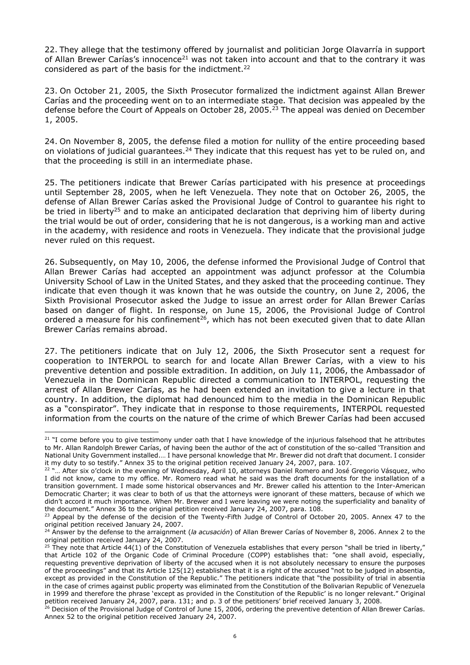22. They allege that the testimony offered by journalist and politician Jorge Olavarría in support of Allan Brewer Carías's innocence<sup>21</sup> was not taken into account and that to the contrary it was considered as part of the basis for the indictment.<sup>22</sup>

23. On October 21, 2005, the Sixth Prosecutor formalized the indictment against Allan Brewer Carías and the proceeding went on to an intermediate stage. That decision was appealed by the defense before the Court of Appeals on October 28, 2005.<sup>23</sup> The appeal was denied on December 1, 2005.

24. On November 8, 2005, the defense filed a motion for nullity of the entire proceeding based on violations of judicial guarantees.<sup>24</sup> They indicate that this request has yet to be ruled on, and that the proceeding is still in an intermediate phase.

25. The petitioners indicate that Brewer Carías participated with his presence at proceedings until September 28, 2005, when he left Venezuela. They note that on October 26, 2005, the defense of Allan Brewer Carías asked the Provisional Judge of Control to guarantee his right to be tried in liberty<sup>25</sup> and to make an anticipated declaration that depriving him of liberty during the trial would be out of order, considering that he is not dangerous, is a working man and active in the academy, with residence and roots in Venezuela. They indicate that the provisional judge never ruled on this request.

26. Subsequently, on May 10, 2006, the defense informed the Provisional Judge of Control that Allan Brewer Carías had accepted an appointment was adjunct professor at the Columbia University School of Law in the United States, and they asked that the proceeding continue. They indicate that even though it was known that he was outside the country, on June 2, 2006, the Sixth Provisional Prosecutor asked the Judge to issue an arrest order for Allan Brewer Carías based on danger of flight. In response, on June 15, 2006, the Provisional Judge of Control ordered a measure for his confinement<sup>26</sup>, which has not been executed given that to date Allan Brewer Carías remains abroad.

27. The petitioners indicate that on July 12, 2006, the Sixth Prosecutor sent a request for cooperation to INTERPOL to search for and locate Allan Brewer Carías, with a view to his preventive detention and possible extradition. In addition, on July 11, 2006, the Ambassador of Venezuela in the Dominican Republic directed a communication to INTERPOL, requesting the arrest of Allan Brewer Carías, as he had been extended an invitation to give a lecture in that country. In addition, the diplomat had denounced him to the media in the Dominican Republic as a "conspirator". They indicate that in response to those requirements, INTERPOL requested information from the courts on the nature of the crime of which Brewer Carías had been accused

 $21$  "I come before you to give testimony under oath that I have knowledge of the injurious falsehood that he attributes to Mr. Allan Randolph Brewer Carías, of having been the author of the act of constitution of the so-called 'Transition and National Unity Government installed.… I have personal knowledge that Mr. Brewer did not draft that document. I consider it my duty to so testify." Annex 35 to the original petition received January 24, 2007, para. 107.

<sup>&</sup>lt;sup>22</sup> "... After six o'clock in the evening of Wednesday, April 10, attorneys Daniel Romero and José Gregorio Vásquez, who I did not know, came to my office. Mr. Romero read what he said was the draft documents for the installation of a transition government. I made some historical observances and Mr. Brewer called his attention to the Inter-American Democratic Charter; it was clear to both of us that the attorneys were ignorant of these matters, because of which we didn't accord it much importance. When Mr. Brewer and I were leaving we were noting the superficiality and banality of the document." Annex 36 to the original petition received January 24, 2007, para. 108.

<sup>&</sup>lt;sup>23</sup> Appeal by the defense of the decision of the Twenty-Fifth Judge of Control of October 20, 2005. Annex 47 to the original petition received January 24, 2007.

<sup>24</sup> Answer by the defense to the arraignment (*la acusación*) of Allan Brewer Carías of November 8, 2006. Annex 2 to the original petition received January 24, 2007.

<sup>&</sup>lt;sup>25</sup> They note that Article 44(1) of the Constitution of Venezuela establishes that every person "shall be tried in liberty," that Article 102 of the Organic Code of Criminal Procedure (COPP) establishes that: "one shall avoid, especially, requesting preventive deprivation of liberty of the accused when it is not absolutely necessary to ensure the purposes of the proceedings" and that its Article 125(12) establishes that it is a right of the accused "not to be judged in absentia, except as provided in the Constitution of the Republic." The petitioners indicate that "the possibility of trial in absentia in the case of crimes against public property was eliminated from the Constitution of the Bolivarian Republic of Venezuela in 1999 and therefore the phrase 'except as provided in the Constitution of the Republic' is no longer relevant." Original petition received January 24, 2007, para. 131; and p. 3 of the petitioners' brief received January 3, 2008.

<sup>&</sup>lt;sup>26</sup> Decision of the Provisional Judge of Control of June 15, 2006, ordering the preventive detention of Allan Brewer Carías. Annex 52 to the original petition received January 24, 2007.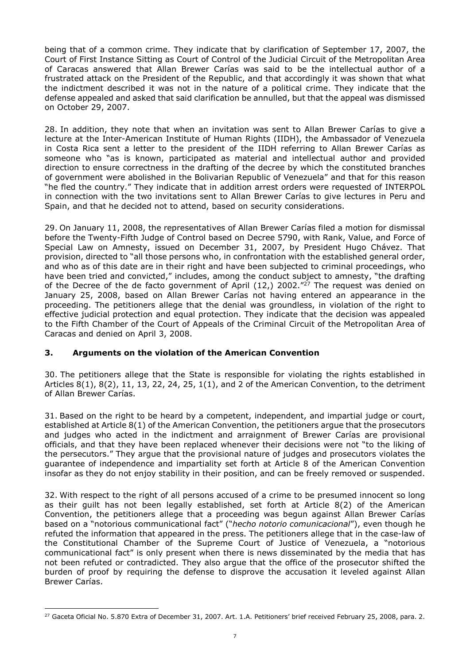being that of a common crime. They indicate that by clarification of September 17, 2007, the Court of First Instance Sitting as Court of Control of the Judicial Circuit of the Metropolitan Area of Caracas answered that Allan Brewer Carías was said to be the intellectual author of a frustrated attack on the President of the Republic, and that accordingly it was shown that what the indictment described it was not in the nature of a political crime. They indicate that the defense appealed and asked that said clarification be annulled, but that the appeal was dismissed on October 29, 2007.

28. In addition, they note that when an invitation was sent to Allan Brewer Carías to give a lecture at the Inter-American Institute of Human Rights (IIDH), the Ambassador of Venezuela in Costa Rica sent a letter to the president of the IIDH referring to Allan Brewer Carías as someone who "as is known, participated as material and intellectual author and provided direction to ensure correctness in the drafting of the decree by which the constituted branches of government were abolished in the Bolivarian Republic of Venezuela" and that for this reason "he fled the country." They indicate that in addition arrest orders were requested of INTERPOL in connection with the two invitations sent to Allan Brewer Carías to give lectures in Peru and Spain, and that he decided not to attend, based on security considerations.

29. On January 11, 2008, the representatives of Allan Brewer Carías filed a motion for dismissal before the Twenty-Fifth Judge of Control based on Decree 5790, with Rank, Value, and Force of Special Law on Amnesty, issued on December 31, 2007, by President Hugo Chávez. That provision, directed to "all those persons who, in confrontation with the established general order, and who as of this date are in their right and have been subjected to criminal proceedings, who have been tried and convicted," includes, among the conduct subject to amnesty, "the drafting of the Decree of the de facto government of April (12,) 2002."<sup>27</sup> The request was denied on January 25, 2008, based on Allan Brewer Carías not having entered an appearance in the proceeding. The petitioners allege that the denial was groundless, in violation of the right to effective judicial protection and equal protection. They indicate that the decision was appealed to the Fifth Chamber of the Court of Appeals of the Criminal Circuit of the Metropolitan Area of Caracas and denied on April 3, 2008.

### **3. Arguments on the violation of the American Convention**

30. The petitioners allege that the State is responsible for violating the rights established in Articles 8(1), 8(2), 11, 13, 22, 24, 25, 1(1), and 2 of the American Convention, to the detriment of Allan Brewer Carías.

31. Based on the right to be heard by a competent, independent, and impartial judge or court, established at Article 8(1) of the American Convention, the petitioners argue that the prosecutors and judges who acted in the indictment and arraignment of Brewer Carías are provisional officials, and that they have been replaced whenever their decisions were not "to the liking of the persecutors." They argue that the provisional nature of judges and prosecutors violates the guarantee of independence and impartiality set forth at Article 8 of the American Convention insofar as they do not enjoy stability in their position, and can be freely removed or suspended.

32. With respect to the right of all persons accused of a crime to be presumed innocent so long as their guilt has not been legally established, set forth at Article 8(2) of the American Convention, the petitioners allege that a proceeding was begun against Allan Brewer Carías based on a "notorious communicational fact" ("*hecho notorio comunicacional*"), even though he refuted the information that appeared in the press. The petitioners allege that in the case-law of the Constitutional Chamber of the Supreme Court of Justice of Venezuela, a "notorious communicational fact" is only present when there is news disseminated by the media that has not been refuted or contradicted. They also argue that the office of the prosecutor shifted the burden of proof by requiring the defense to disprove the accusation it leveled against Allan Brewer Carías.

<sup>-</sup><sup>27</sup> Gaceta Oficial No. 5.870 Extra of December 31, 2007. Art. 1.A. Petitioners' brief received February 25, 2008, para. 2.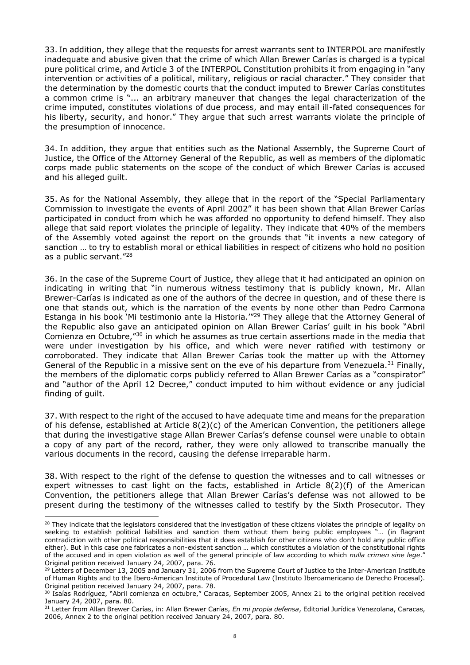33. In addition, they allege that the requests for arrest warrants sent to INTERPOL are manifestly inadequate and abusive given that the crime of which Allan Brewer Carías is charged is a typical pure political crime, and Article 3 of the INTERPOL Constitution prohibits it from engaging in "any intervention or activities of a political, military, religious or racial character." They consider that the determination by the domestic courts that the conduct imputed to Brewer Carías constitutes a common crime is "... an arbitrary maneuver that changes the legal characterization of the crime imputed, constitutes violations of due process, and may entail ill-fated consequences for his liberty, security, and honor." They argue that such arrest warrants violate the principle of the presumption of innocence.

34. In addition, they argue that entities such as the National Assembly, the Supreme Court of Justice, the Office of the Attorney General of the Republic, as well as members of the diplomatic corps made public statements on the scope of the conduct of which Brewer Carías is accused and his alleged guilt.

35. As for the National Assembly, they allege that in the report of the "Special Parliamentary Commission to investigate the events of April 2002" it has been shown that Allan Brewer Carías participated in conduct from which he was afforded no opportunity to defend himself. They also allege that said report violates the principle of legality. They indicate that 40% of the members of the Assembly voted against the report on the grounds that "it invents a new category of sanction … to try to establish moral or ethical liabilities in respect of citizens who hold no position as a public servant."<sup>28</sup>

36. In the case of the Supreme Court of Justice, they allege that it had anticipated an opinion on indicating in writing that "in numerous witness testimony that is publicly known, Mr. Allan Brewer-Carías is indicated as one of the authors of the decree in question, and of these there is one that stands out, which is the narration of the events by none other than Pedro Carmona Estanga in his book 'Mi testimonio ante la Historia.'"<sup>29</sup> They allege that the Attorney General of the Republic also gave an anticipated opinion on Allan Brewer Carías' guilt in his book "Abril Comienza en Octubre,"<sup>30</sup> in which he assumes as true certain assertions made in the media that were under investigation by his office, and which were never ratified with testimony or corroborated. They indicate that Allan Brewer Carías took the matter up with the Attorney General of the Republic in a missive sent on the eve of his departure from Venezuela.<sup>31</sup> Finally, the members of the diplomatic corps publicly referred to Allan Brewer Carías as a "conspirator" and "author of the April 12 Decree," conduct imputed to him without evidence or any judicial finding of guilt.

37. With respect to the right of the accused to have adequate time and means for the preparation of his defense, established at Article 8(2)(c) of the American Convention, the petitioners allege that during the investigative stage Allan Brewer Carías's defense counsel were unable to obtain a copy of any part of the record, rather, they were only allowed to transcribe manually the various documents in the record, causing the defense irreparable harm.

38. With respect to the right of the defense to question the witnesses and to call witnesses or expert witnesses to cast light on the facts, established in Article  $8(2)(f)$  of the American Convention, the petitioners allege that Allan Brewer Carías's defense was not allowed to be present during the testimony of the witnesses called to testify by the Sixth Prosecutor. They

<sup>&</sup>lt;sup>28</sup> They indicate that the legislators considered that the investigation of these citizens violates the principle of legality on seeking to establish political liabilities and sanction them without them being public employees "... (in flagrant contradiction with other political responsibilities that it does establish for other citizens who don't hold any public office either). But in this case one fabricates a non-existent sanction … which constitutes a violation of the constitutional rights of the accused and in open violation as well of the general principle of law according to which *nulla crimen sine lege*." Original petition received January 24, 2007, para. 76.

<sup>&</sup>lt;sup>29</sup> Letters of December 13, 2005 and January 31, 2006 from the Supreme Court of Justice to the Inter-American Institute of Human Rights and to the Ibero-American Institute of Procedural Law (Instituto Iberoamericano de Derecho Procesal). Original petition received January 24, 2007, para. 78.

<sup>&</sup>lt;sup>30</sup> Isaías Rodríguez, "Abril comienza en octubre," Caracas, September 2005, Annex 21 to the original petition received January 24, 2007, para. 80.

<sup>31</sup> Letter from Allan Brewer Carías, in: Allan Brewer Carías, *En mi propia defensa*, Editorial Jurídica Venezolana, Caracas, 2006, Annex 2 to the original petition received January 24, 2007, para. 80.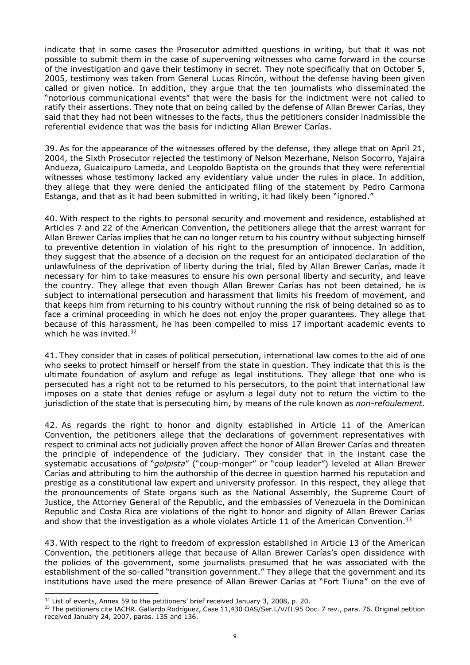indicate that in some cases the Prosecutor admitted questions in writing, but that it was not possible to submit them in the case of supervening witnesses who came forward in the course of the investigation and gave their testimony in secret. They note specifically that on October 5, 2005, testimony was taken from General Lucas Rincón, without the defense having been given called or given notice. In addition, they argue that the ten journalists who disseminated the "notorious communicational events" that were the basis for the indictment were not called to ratify their assertions. They note that on being called by the defense of Allan Brewer Carías, they said that they had not been witnesses to the facts, thus the petitioners consider inadmissible the referential evidence that was the basis for indicting Allan Brewer Carías.

39. As for the appearance of the witnesses offered by the defense, they allege that on April 21, 2004, the Sixth Prosecutor rejected the testimony of Nelson Mezerhane, Nelson Socorro, Yajaira Andueza, Guaicaipuro Lameda, and Leopoldo Baptista on the grounds that they were referential witnesses whose testimony lacked any evidentiary value under the rules in place. In addition, they allege that they were denied the anticipated filing of the statement by Pedro Carmona Estanga, and that as it had been submitted in writing, it had likely been "ignored."

40. With respect to the rights to personal security and movement and residence, established at Articles 7 and 22 of the American Convention, the petitioners allege that the arrest warrant for Allan Brewer Carías implies that he can no longer return to his country without subjecting himself to preventive detention in violation of his right to the presumption of innocence. In addition, they suggest that the absence of a decision on the request for an anticipated declaration of the unlawfulness of the deprivation of liberty during the trial, filed by Allan Brewer Carías, made it necessary for him to take measures to ensure his own personal liberty and security, and leave the country. They allege that even though Allan Brewer Carías has not been detained, he is subject to international persecution and harassment that limits his freedom of movement, and that keeps him from returning to his country without running the risk of being detained so as to face a criminal proceeding in which he does not enjoy the proper guarantees. They allege that because of this harassment, he has been compelled to miss 17 important academic events to which he was invited.<sup>32</sup>

41. They consider that in cases of political persecution, international law comes to the aid of one who seeks to protect himself or herself from the state in question. They indicate that this is the ultimate foundation of asylum and refuge as legal institutions. They allege that one who is persecuted has a right not to be returned to his persecutors, to the point that international law imposes on a state that denies refuge or asylum a legal duty not to return the victim to the jurisdiction of the state that is persecuting him, by means of the rule known as *non-refoulement.*

42. As regards the right to honor and dignity established in Article 11 of the American Convention, the petitioners allege that the declarations of government representatives with respect to criminal acts not judicially proven affect the honor of Allan Brewer Carías and threaten the principle of independence of the judiciary. They consider that in the instant case the systematic accusations of "*golpista*" ("coup-monger" or "coup leader") leveled at Allan Brewer Carías and attributing to him the authorship of the decree in question harmed his reputation and prestige as a constitutional law expert and university professor. In this respect, they allege that the pronouncements of State organs such as the National Assembly, the Supreme Court of Justice, the Attorney General of the Republic, and the embassies of Venezuela in the Dominican Republic and Costa Rica are violations of the right to honor and dignity of Allan Brewer Carías and show that the investigation as a whole violates Article 11 of the American Convention.<sup>33</sup>

43. With respect to the right to freedom of expression established in Article 13 of the American Convention, the petitioners allege that because of Allan Brewer Carías's open dissidence with the policies of the government, some journalists presumed that he was associated with the establishment of the so-called "transition government." They allege that the government and its institutions have used the mere presence of Allan Brewer Carías at "Fort Tiuna" on the eve of

<sup>&</sup>lt;sup>32</sup> List of events, Annex 59 to the petitioners' brief received January 3, 2008, p. 20.

<sup>33</sup> The petitioners cite IACHR. Gallardo Rodríguez, Case 11,430 OAS/Ser.L/V/II.95 Doc. 7 rev., para. 76. Original petition received January 24, 2007, paras. 135 and 136.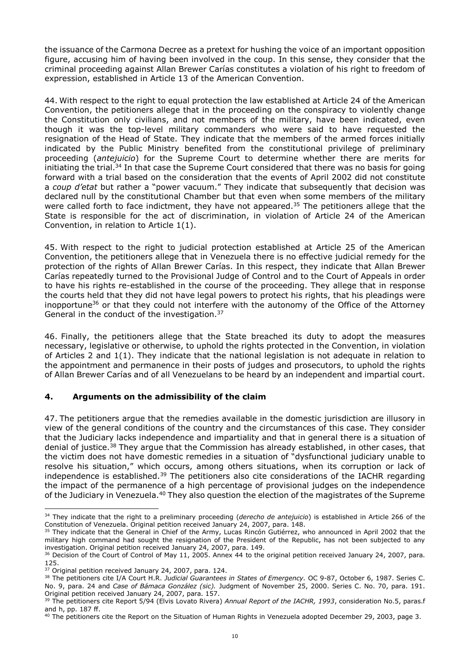the issuance of the Carmona Decree as a pretext for hushing the voice of an important opposition figure, accusing him of having been involved in the coup. In this sense, they consider that the criminal proceeding against Allan Brewer Carías constitutes a violation of his right to freedom of expression, established in Article 13 of the American Convention.

44. With respect to the right to equal protection the law established at Article 24 of the American Convention, the petitioners allege that in the proceeding on the conspiracy to violently change the Constitution only civilians, and not members of the military, have been indicated, even though it was the top-level military commanders who were said to have requested the resignation of the Head of State. They indicate that the members of the armed forces initially indicated by the Public Ministry benefited from the constitutional privilege of preliminary proceeding (*antejuicio*) for the Supreme Court to determine whether there are merits for initiating the trial.<sup>34</sup> In that case the Supreme Court considered that there was no basis for going forward with a trial based on the consideration that the events of April 2002 did not constitute a *coup d'etat* but rather a "power vacuum." They indicate that subsequently that decision was declared null by the constitutional Chamber but that even when some members of the military were called forth to face indictment, they have not appeared.<sup>35</sup> The petitioners allege that the State is responsible for the act of discrimination, in violation of Article 24 of the American Convention, in relation to Article 1(1).

45. With respect to the right to judicial protection established at Article 25 of the American Convention, the petitioners allege that in Venezuela there is no effective judicial remedy for the protection of the rights of Allan Brewer Carías. In this respect, they indicate that Allan Brewer Carías repeatedly turned to the Provisional Judge of Control and to the Court of Appeals in order to have his rights re-established in the course of the proceeding. They allege that in response the courts held that they did not have legal powers to protect his rights, that his pleadings were inopportune<sup>36</sup> or that they could not interfere with the autonomy of the Office of the Attorney General in the conduct of the investigation.<sup>37</sup>

46. Finally, the petitioners allege that the State breached its duty to adopt the measures necessary, legislative or otherwise, to uphold the rights protected in the Convention, in violation of Articles 2 and 1(1). They indicate that the national legislation is not adequate in relation to the appointment and permanence in their posts of judges and prosecutors, to uphold the rights of Allan Brewer Carías and of all Venezuelans to be heard by an independent and impartial court.

# **4. Arguments on the admissibility of the claim**

47. The petitioners argue that the remedies available in the domestic jurisdiction are illusory in view of the general conditions of the country and the circumstances of this case. They consider that the Judiciary lacks independence and impartiality and that in general there is a situation of denial of justice.<sup>38</sup> They argue that the Commission has already established, in other cases, that the victim does not have domestic remedies in a situation of "dysfunctional judiciary unable to resolve his situation," which occurs, among others situations, when its corruption or lack of independence is established.<sup>39</sup> The petitioners also cite considerations of the IACHR regarding the impact of the permanence of a high percentage of provisional judges on the independence of the Judiciary in Venezuela.<sup>40</sup> They also question the election of the magistrates of the Supreme

<sup>34</sup> They indicate that the right to a preliminary proceeding (*derecho de antejuicio*) is established in Article 266 of the Constitution of Venezuela. Original petition received January 24, 2007, para. 148.

<sup>&</sup>lt;sup>35</sup> They indicate that the General in Chief of the Army, Lucas Rincón Gutiérrez, who announced in April 2002 that the military high command had sought the resignation of the President of the Republic, has not been subjected to any investigation. Original petition received January 24, 2007, para. 149.

<sup>&</sup>lt;sup>36</sup> Decision of the Court of Control of May 11, 2005. Annex 44 to the original petition received January 24, 2007, para. 125.

<sup>&</sup>lt;sup>37</sup> Original petition received January 24, 2007, para. 124.

<sup>38</sup> The petitioners cite I/A Court H.R. *Judicial Guarantees in States of Emergency.* OC 9-87, October 6, 1987. Series C. No. 9, para. 24 and *Case of Bámaca González (sic).* Judgment of November 25, 2000. Series C. No. 70, para. 191. Original petition received January 24, 2007, para. 157.

<sup>&</sup>lt;sup>39</sup> The petitioners cite Report 5/94 (Elvis Lovato Rivera) Annual Report of the IACHR, 1993, consideration No.5, paras.f and h, pp. 187 ff.

 $40$  The petitioners cite the Report on the Situation of Human Rights in Venezuela adopted December 29, 2003, page 3.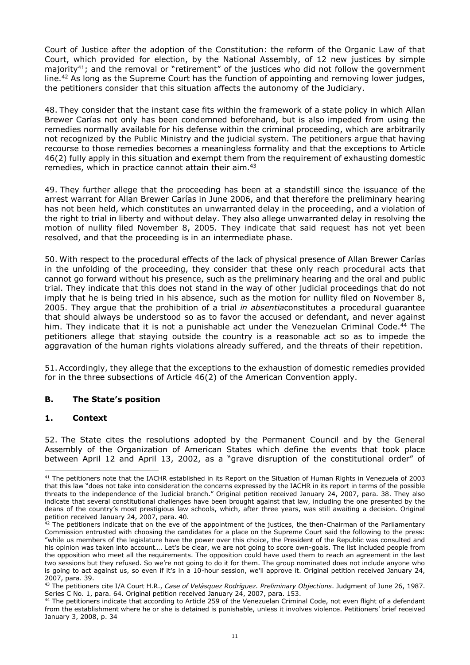Court of Justice after the adoption of the Constitution: the reform of the Organic Law of that Court, which provided for election, by the National Assembly, of 12 new justices by simple majority<sup>41</sup>; and the removal or "retirement" of the justices who did not follow the government line.<sup>42</sup> As long as the Supreme Court has the function of appointing and removing lower judges, the petitioners consider that this situation affects the autonomy of the Judiciary.

48. They consider that the instant case fits within the framework of a state policy in which Allan Brewer Carías not only has been condemned beforehand, but is also impeded from using the remedies normally available for his defense within the criminal proceeding, which are arbitrarily not recognized by the Public Ministry and the judicial system. The petitioners argue that having recourse to those remedies becomes a meaningless formality and that the exceptions to Article 46(2) fully apply in this situation and exempt them from the requirement of exhausting domestic remedies, which in practice cannot attain their aim.<sup>43</sup>

49. They further allege that the proceeding has been at a standstill since the issuance of the arrest warrant for Allan Brewer Carías in June 2006, and that therefore the preliminary hearing has not been held, which constitutes an unwarranted delay in the proceeding, and a violation of the right to trial in liberty and without delay. They also allege unwarranted delay in resolving the motion of nullity filed November 8, 2005. They indicate that said request has not yet been resolved, and that the proceeding is in an intermediate phase.

50. With respect to the procedural effects of the lack of physical presence of Allan Brewer Carías in the unfolding of the proceeding, they consider that these only reach procedural acts that cannot go forward without his presence, such as the preliminary hearing and the oral and public trial. They indicate that this does not stand in the way of other judicial proceedings that do not imply that he is being tried in his absence, such as the motion for nullity filed on November 8, 2005. They argue that the prohibition of a trial *in absentia*constitutes a procedural guarantee that should always be understood so as to favor the accused or defendant, and never against him. They indicate that it is not a punishable act under the Venezuelan Criminal Code.<sup>44</sup> The petitioners allege that staying outside the country is a reasonable act so as to impede the aggravation of the human rights violations already suffered, and the threats of their repetition.

51. Accordingly, they allege that the exceptions to the exhaustion of domestic remedies provided for in the three subsections of Article 46(2) of the American Convention apply.

### **B. The State's position**

### **1. Context**

52. The State cites the resolutions adopted by the Permanent Council and by the General Assembly of the Organization of American States which define the events that took place between April 12 and April 13, 2002, as a "grave disruption of the constitutional order" of

<sup>-</sup><sup>41</sup> The petitioners note that the IACHR established in its Report on the Situation of Human Rights in Venezuela of 2003 that this law "does not take into consideration the concerns expressed by the IACHR in its report in terms of the possible threats to the independence of the Judicial branch." Original petition received January 24, 2007, para. 38. They also indicate that several constitutional challenges have been brought against that law, including the one presented by the deans of the country's most prestigious law schools, which, after three years, was still awaiting a decision. Original petition received January 24, 2007, para. 40.

 $42$  The petitioners indicate that on the eve of the appointment of the justices, the then-Chairman of the Parliamentary Commission entrusted with choosing the candidates for a place on the Supreme Court said the following to the press: "while us members of the legislature have the power over this choice, the President of the Republic was consulted and his opinion was taken into account…. Let's be clear, we are not going to score own-goals. The list included people from the opposition who meet all the requirements. The opposition could have used them to reach an agreement in the last two sessions but they refused. So we're not going to do it for them. The group nominated does not include anyone who is going to act against us, so even if it's in a 10-hour session, we'll approve it. Original petition received January 24, 2007, para. 39.

<sup>43</sup> The petitioners cite I/A Court H.R., *Case of Velásquez Rodríguez. Preliminary Objections*. Judgment of June 26, 1987. Series C No. 1, para. 64. Original petition received January 24, 2007, para. 153.

<sup>&</sup>lt;sup>44</sup> The petitioners indicate that according to Article 259 of the Venezuelan Criminal Code, not even flight of a defendant from the establishment where he or she is detained is punishable, unless it involves violence. Petitioners' brief received January 3, 2008, p. 34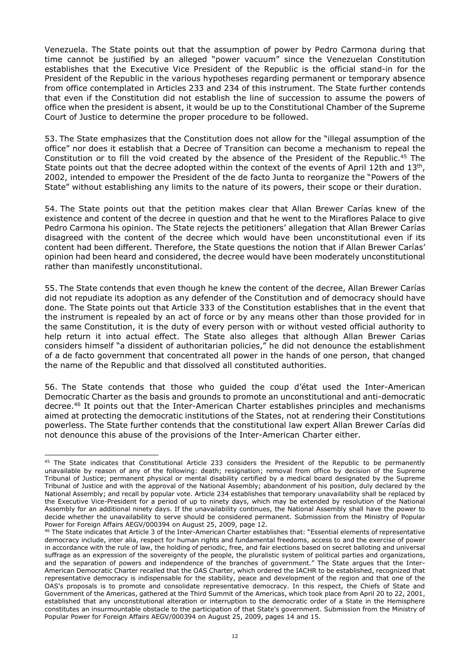Venezuela. The State points out that the assumption of power by Pedro Carmona during that time cannot be justified by an alleged "power vacuum" since the Venezuelan Constitution establishes that the Executive Vice President of the Republic is the official stand-in for the President of the Republic in the various hypotheses regarding permanent or temporary absence from office contemplated in Articles 233 and 234 of this instrument. The State further contends that even if the Constitution did not establish the line of succession to assume the powers of office when the president is absent, it would be up to the Constitutional Chamber of the Supreme Court of Justice to determine the proper procedure to be followed.

53. The State emphasizes that the Constitution does not allow for the "illegal assumption of the office" nor does it establish that a Decree of Transition can become a mechanism to repeal the Constitution or to fill the void created by the absence of the President of the Republic.<sup>45</sup> The State points out that the decree adopted within the context of the events of April 12th and 13<sup>th</sup>, 2002, intended to empower the President of the de facto Junta to reorganize the "Powers of the State" without establishing any limits to the nature of its powers, their scope or their duration.

54. The State points out that the petition makes clear that Allan Brewer Carías knew of the existence and content of the decree in question and that he went to the Miraflores Palace to give Pedro Carmona his opinion. The State rejects the petitioners' allegation that Allan Brewer Carías disagreed with the content of the decree which would have been unconstitutional even if its content had been different. Therefore, the State questions the notion that if Allan Brewer Carías' opinion had been heard and considered, the decree would have been moderately unconstitutional rather than manifestly unconstitutional.

55. The State contends that even though he knew the content of the decree, Allan Brewer Carías did not repudiate its adoption as any defender of the Constitution and of democracy should have done. The State points out that Article 333 of the Constitution establishes that in the event that the instrument is repealed by an act of force or by any means other than those provided for in the same Constitution, it is the duty of every person with or without vested official authority to help return it into actual effect. The State also alleges that although Allan Brewer Carias considers himself "a dissident of authoritarian policies," he did not denounce the establishment of a de facto government that concentrated all power in the hands of one person, that changed the name of the Republic and that dissolved all constituted authorities.

56. The State contends that those who guided the coup d'état used the Inter-American Democratic Charter as the basis and grounds to promote an unconstitutional and anti-democratic decree.<sup>46</sup> It points out that the Inter-American Charter establishes principles and mechanisms aimed at protecting the democratic institutions of the States, not at rendering their Constitutions powerless. The State further contends that the constitutional law expert Allan Brewer Carías did not denounce this abuse of the provisions of the Inter-American Charter either.

<sup>-</sup><sup>45</sup> The State indicates that Constitutional Article 233 considers the President of the Republic to be permanently unavailable by reason of any of the following: death; resignation; removal from office by decision of the Supreme Tribunal of Justice; permanent physical or mental disability certified by a medical board designated by the Supreme Tribunal of Justice and with the approval of the National Assembly; abandonment of his position, duly declared by the National Assembly; and recall by popular vote. Article 234 establishes that temporary unavailability shall be replaced by the Executive Vice-President for a period of up to ninety days, which may be extended by resolution of the National Assembly for an additional ninety days. If the unavailability continues, the National Assembly shall have the power to decide whether the unavailability to serve should be considered permanent. Submission from the Ministry of Popular Power for Foreign Affairs AEGV/000394 on August 25, 2009, page 12.

<sup>46</sup> The State indicates that Article 3 of the Inter-American Charter establishes that: "Essential elements of representative democracy include, inter alia, respect for human rights and fundamental freedoms, access to and the exercise of power in accordance with the rule of law, the holding of periodic, free, and fair elections based on secret balloting and universal suffrage as an expression of the sovereignty of the people, the pluralistic system of political parties and organizations, and the separation of powers and independence of the branches of government." The State argues that the Inter-American Democratic Charter recalled that the OAS Charter, which ordered the IACHR to be established, recognized that representative democracy is indispensable for the stability, peace and development of the region and that one of the OAS's proposals is to promote and consolidate representative democracy. In this respect, the Chiefs of State and Government of the Americas, gathered at the Third Summit of the Americas, which took place from April 20 to 22, 2001, established that any unconstitutional alteration or interruption to the democratic order of a State in the Hemisphere constitutes an insurmountable obstacle to the participation of that State's government. Submission from the Ministry of Popular Power for Foreign Affairs AEGV/000394 on August 25, 2009, pages 14 and 15.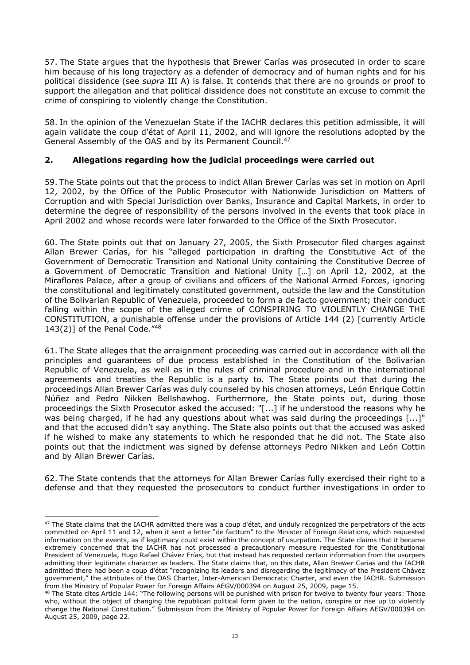57. The State argues that the hypothesis that Brewer Carías was prosecuted in order to scare him because of his long trajectory as a defender of democracy and of human rights and for his political dissidence (see *supra* III A) is false. It contends that there are no grounds or proof to support the allegation and that political dissidence does not constitute an excuse to commit the crime of conspiring to violently change the Constitution.

58. In the opinion of the Venezuelan State if the IACHR declares this petition admissible, it will again validate the coup d'état of April 11, 2002, and will ignore the resolutions adopted by the General Assembly of the OAS and by its Permanent Council.<sup>47</sup>

## **2. Allegations regarding how the judicial proceedings were carried out**

59. The State points out that the process to indict Allan Brewer Carías was set in motion on April 12, 2002, by the Office of the Public Prosecutor with Nationwide Jurisdiction on Matters of Corruption and with Special Jurisdiction over Banks, Insurance and Capital Markets, in order to determine the degree of responsibility of the persons involved in the events that took place in April 2002 and whose records were later forwarded to the Office of the Sixth Prosecutor.

60. The State points out that on January 27, 2005, the Sixth Prosecutor filed charges against Allan Brewer Carías, for his "alleged participation in drafting the Constitutive Act of the Government of Democratic Transition and National Unity containing the Constitutive Decree of a Government of Democratic Transition and National Unity […] on April 12, 2002, at the Miraflores Palace, after a group of civilians and officers of the National Armed Forces, ignoring the constitutional and legitimately constituted government, outside the law and the Constitution of the Bolivarian Republic of Venezuela, proceeded to form a de facto government; their conduct falling within the scope of the alleged crime of CONSPIRING TO VIOLENTLY CHANGE THE CONSTITUTION, a punishable offense under the provisions of Article 144 (2) [currently Article 143(2)] of the Penal Code."48

61. The State alleges that the arraignment proceeding was carried out in accordance with all the principles and guarantees of due process established in the Constitution of the Bolivarian Republic of Venezuela, as well as in the rules of criminal procedure and in the international agreements and treaties the Republic is a party to. The State points out that during the proceedings Allan Brewer Carías was duly counseled by his chosen attorneys, León Enrique Cottin Núñez and Pedro Nikken Bellshawhog. Furthermore, the State points out, during those proceedings the Sixth Prosecutor asked the accused: "[...] if he understood the reasons why he was being charged, if he had any questions about what was said during the proceedings [...]" and that the accused didn't say anything. The State also points out that the accused was asked if he wished to make any statements to which he responded that he did not. The State also points out that the indictment was signed by defense attorneys Pedro Nikken and León Cottin and by Allan Brewer Carías.

62. The State contends that the attorneys for Allan Brewer Carías fully exercised their right to a defense and that they requested the prosecutors to conduct further investigations in order to

<sup>&</sup>lt;sup>47</sup> The State claims that the IACHR admitted there was a coup d'état, and unduly recognized the perpetrators of the acts committed on April 11 and 12, when it sent a letter "de facttum" to the Minister of Foreign Relations, which requested information on the events, as if legitimacy could exist within the concept of usurpation. The State claims that it became extremely concerned that the IACHR has not processed a precautionary measure requested for the Constitutional President of Venezuela, Hugo Rafael Chávez Frías, but that instead has requested certain information from the usurpers admitting their legitimate character as leaders. The State claims that, on this date, Allan Brewer Carias and the IACHR admitted there had been a coup d'état "recognizing its leaders and disregarding the legitimacy of the President Chávez government," the attributes of the OAS Charter, Inter-American Democratic Charter, and even the IACHR. Submission from the Ministry of Popular Power for Foreign Affairs AEGV/000394 on August 25, 2009, page 15.

<sup>&</sup>lt;sup>48</sup> The State cites Article 144: "The following persons will be punished with prison for twelve to twenty four years: Those who, without the object of changing the republican political form given to the nation, conspire or rise up to violently change the National Constitution." Submission from the Ministry of Popular Power for Foreign Affairs AEGV/000394 on August 25, 2009, page 22.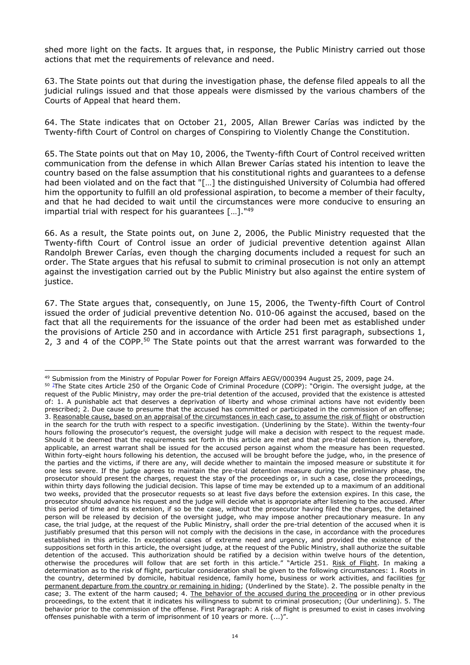shed more light on the facts. It argues that, in response, the Public Ministry carried out those actions that met the requirements of relevance and need.

63. The State points out that during the investigation phase, the defense filed appeals to all the judicial rulings issued and that those appeals were dismissed by the various chambers of the Courts of Appeal that heard them.

64. The State indicates that on October 21, 2005, Allan Brewer Carías was indicted by the Twenty-fifth Court of Control on charges of Conspiring to Violently Change the Constitution.

65. The State points out that on May 10, 2006, the Twenty-fifth Court of Control received written communication from the defense in which Allan Brewer Carías stated his intention to leave the country based on the false assumption that his constitutional rights and guarantees to a defense had been violated and on the fact that "[…] the distinguished University of Columbia had offered him the opportunity to fulfill an old professional aspiration, to become a member of their faculty, and that he had decided to wait until the circumstances were more conducive to ensuring an impartial trial with respect for his guarantees […]."<sup>49</sup>

66. As a result, the State points out, on June 2, 2006, the Public Ministry requested that the Twenty-fifth Court of Control issue an order of judicial preventive detention against Allan Randolph Brewer Carías, even though the charging documents included a request for such an order. The State argues that his refusal to submit to criminal prosecution is not only an attempt against the investigation carried out by the Public Ministry but also against the entire system of justice.

67. The State argues that, consequently, on June 15, 2006, the Twenty-fifth Court of Control issued the order of judicial preventive detention No. 010-06 against the accused, based on the fact that all the requirements for the issuance of the order had been met as established under the provisions of Article 250 and in accordance with Article 251 first paragraph, subsections 1, 2, 3 and 4 of the COPP.<sup>50</sup> The State points out that the arrest warrant was forwarded to the

<sup>-</sup><sup>49</sup> Submission from the Ministry of Popular Power for Foreign Affairs AEGV/000394 August 25, 2009, page 24.

<sup>50</sup> ]The State cites Article 250 of the Organic Code of Criminal Procedure (COPP): "Origin. The oversight judge, at the request of the Public Ministry, may order the pre-trial detention of the accused, provided that the existence is attested of: 1. A punishable act that deserves a deprivation of liberty and whose criminal actions have not evidently been prescribed; 2. Due cause to presume that the accused has committed or participated in the commission of an offense; 3. Reasonable cause, based on an appraisal of the circumstances in each case, to assume the risk of flight or obstruction in the search for the truth with respect to a specific investigation. (Underlining by the State). Within the twenty-four hours following the prosecutor's request, the oversight judge will make a decision with respect to the request made. Should it be deemed that the requirements set forth in this article are met and that pre-trial detention is, therefore, applicable, an arrest warrant shall be issued for the accused person against whom the measure has been requested. Within forty-eight hours following his detention, the accused will be brought before the judge, who, in the presence of the parties and the victims, if there are any, will decide whether to maintain the imposed measure or substitute it for one less severe. If the judge agrees to maintain the pre-trial detention measure during the preliminary phase, the prosecutor should present the charges, request the stay of the proceedings or, in such a case, close the proceedings, within thirty days following the judicial decision. This lapse of time may be extended up to a maximum of an additional two weeks, provided that the prosecutor requests so at least five days before the extension expires. In this case, the prosecutor should advance his request and the judge will decide what is appropriate after listening to the accused. After this period of time and its extension, if so be the case, without the prosecutor having filed the charges, the detained person will be released by decision of the oversight judge, who may impose another precautionary measure. In any case, the trial judge, at the request of the Public Ministry, shall order the pre-trial detention of the accused when it is justifiably presumed that this person will not comply with the decisions in the case, in accordance with the procedures established in this article. In exceptional cases of extreme need and urgency, and provided the existence of the suppositions set forth in this article, the oversight judge, at the request of the Public Ministry, shall authorize the suitable detention of the accused. This authorization should be ratified by a decision within twelve hours of the detention, otherwise the procedures will follow that are set forth in this article." "Article 251. Risk of Flight. In making a determination as to the risk of flight, particular consideration shall be given to the following circumstances: 1. Roots in the country, determined by domicile, habitual residence, family home, business or work activities, and facilities for permanent departure from the country or remaining in hiding; (Underlined by the State). 2. The possible penalty in the case; 3. The extent of the harm caused; 4. The behavior of the accused during the proceeding or in other previous proceedings, to the extent that it indicates his willingness to submit to criminal prosecution; (Our underlining). 5. The behavior prior to the commission of the offense. First Paragraph: A risk of flight is presumed to exist in cases involving offenses punishable with a term of imprisonment of 10 years or more. (...)".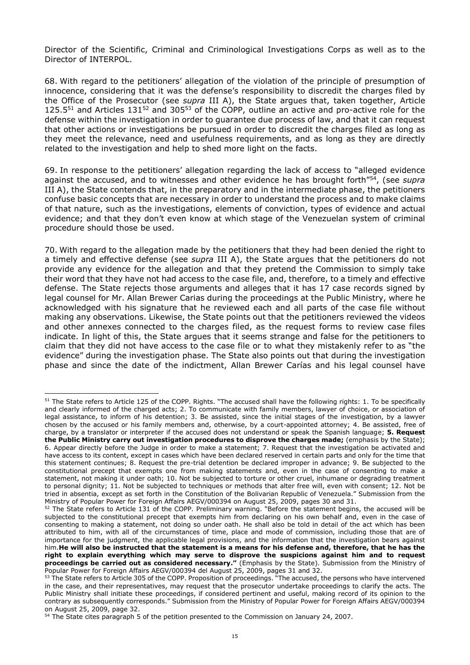Director of the Scientific, Criminal and Criminological Investigations Corps as well as to the Director of INTERPOL.

68. With regard to the petitioners' allegation of the violation of the principle of presumption of innocence, considering that it was the defense's responsibility to discredit the charges filed by the Office of the Prosecutor (see *supra* III A), the State argues that, taken together, Article 125.5<sup>51</sup> and Articles 131<sup>52</sup> and 305<sup>53</sup> of the COPP, outline an active and pro-active role for the defense within the investigation in order to guarantee due process of law, and that it can request that other actions or investigations be pursued in order to discredit the charges filed as long as they meet the relevance, need and usefulness requirements, and as long as they are directly related to the investigation and help to shed more light on the facts.

69. In response to the petitioners' allegation regarding the lack of access to "alleged evidence against the accused, and to witnesses and other evidence he has brought forth"<sup>54</sup> , (see *supra* III A), the State contends that, in the preparatory and in the intermediate phase, the petitioners confuse basic concepts that are necessary in order to understand the process and to make claims of that nature, such as the investigations, elements of conviction, types of evidence and actual evidence; and that they don't even know at which stage of the Venezuelan system of criminal procedure should those be used.

70. With regard to the allegation made by the petitioners that they had been denied the right to a timely and effective defense (see *supra* III A), the State argues that the petitioners do not provide any evidence for the allegation and that they pretend the Commission to simply take their word that they have not had access to the case file, and, therefore, to a timely and effective defense. The State rejects those arguments and alleges that it has 17 case records signed by legal counsel for Mr. Allan Brewer Carias during the proceedings at the Public Ministry, where he acknowledged with his signature that he reviewed each and all parts of the case file without making any observations. Likewise, the State points out that the petitioners reviewed the videos and other annexes connected to the charges filed, as the request forms to review case files indicate. In light of this, the State argues that it seems strange and false for the petitioners to claim that they did not have access to the case file or to what they mistakenly refer to as "the evidence" during the investigation phase. The State also points out that during the investigation phase and since the date of the indictment, Allan Brewer Carías and his legal counsel have

<sup>-</sup><sup>51</sup> The State refers to Article 125 of the COPP. Rights. "The accused shall have the following rights: 1. To be specifically and clearly informed of the charged acts; 2. To communicate with family members, lawyer of choice, or association of legal assistance, to inform of his detention; 3. Be assisted, since the initial stages of the investigation, by a lawyer chosen by the accused or his family members and, otherwise, by a court-appointed attorney; 4. Be assisted, free of charge, by a translator or interpreter if the accused does not understand or speak the Spanish language; **5. Request the Public Ministry carry out investigation procedures to disprove the charges made;** (emphasis by the State); 6. Appear directly before the Judge in order to make a statement; 7. Request that the investigation be activated and have access to its content, except in cases which have been declared reserved in certain parts and only for the time that this statement continues; 8. Request the pre-trial detention be declared improper in advance; 9. Be subjected to the constitutional precept that exempts one from making statements and, even in the case of consenting to make a statement, not making it under oath; 10. Not be subjected to torture or other cruel, inhumane or degrading treatment to personal dignity; 11. Not be subjected to techniques or methods that alter free will, even with consent; 12. Not be tried in absentia, except as set forth in the Constitution of the Bolivarian Republic of Venezuela." Submission from the Ministry of Popular Power for Foreign Affairs AEGV/000394 on August 25, 2009, pages 30 and 31.

<sup>&</sup>lt;sup>52</sup> The State refers to Article 131 of the COPP. Preliminary warning. "Before the statement begins, the accused will be subjected to the constitutional precept that exempts him from declaring on his own behalf and, even in the case of consenting to making a statement, not doing so under oath. He shall also be told in detail of the act which has been attributed to him, with all of the circumstances of time, place and mode of commission, including those that are of importance for the judgment, the applicable legal provisions, and the information that the investigation bears against him.**He will also be instructed that the statement is a means for his defense and, therefore, that he has the right to explain everything which may serve to disprove the suspicions against him and to request proceedings be carried out as considered necessary."** (Emphasis by the State). Submission from the Ministry of Popular Power for Foreign Affairs AEGV/000394 del August 25, 2009, pages 31 and 32.

<sup>&</sup>lt;sup>53</sup> The State refers to Article 305 of the COPP. Proposition of proceedings. "The accused, the persons who have intervened in the case, and their representatives, may request that the prosecutor undertake proceedings to clarify the acts. The Public Ministry shall initiate these proceedings, if considered pertinent and useful, making record of its opinion to the contrary as subsequently corresponds." Submission from the Ministry of Popular Power for Foreign Affairs AEGV/000394 on August 25, 2009, page 32.

<sup>&</sup>lt;sup>54</sup> The State cites paragraph 5 of the petition presented to the Commission on January 24, 2007.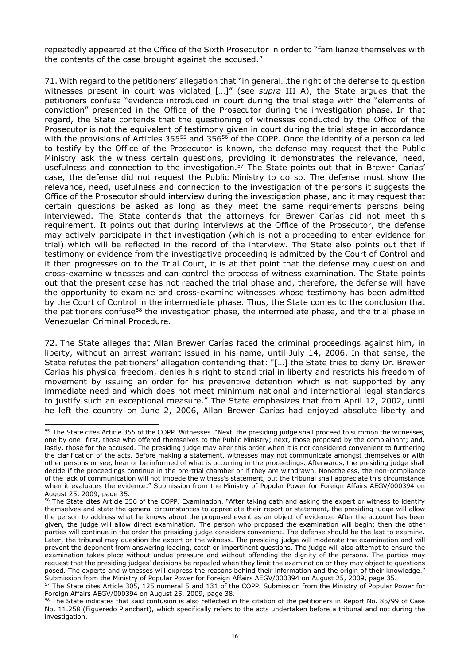repeatedly appeared at the Office of the Sixth Prosecutor in order to "familiarize themselves with the contents of the case brought against the accused."

71. With regard to the petitioners' allegation that "in general…the right of the defense to question witnesses present in court was violated […]" (see *supra* III A), the State argues that the petitioners confuse "evidence introduced in court during the trial stage with the "elements of conviction" presented in the Office of the Prosecutor during the investigation phase. In that regard, the State contends that the questioning of witnesses conducted by the Office of the Prosecutor is not the equivalent of testimony given in court during the trial stage in accordance with the provisions of Articles 355<sup>55</sup> and 356<sup>56</sup> of the COPP. Once the identity of a person called to testify by the Office of the Prosecutor is known, the defense may request that the Public Ministry ask the witness certain questions, providing it demonstrates the relevance, need, usefulness and connection to the investigation.<sup>57</sup> The State points out that in Brewer Carías' case, the defense did not request the Public Ministry to do so. The defense must show the relevance, need, usefulness and connection to the investigation of the persons it suggests the Office of the Prosecutor should interview during the investigation phase, and it may request that certain questions be asked as long as they meet the same requirements persons being interviewed. The State contends that the attorneys for Brewer Carías did not meet this requirement. It points out that during interviews at the Office of the Prosecutor, the defense may actively participate in that investigation (which is not a proceeding to enter evidence for trial) which will be reflected in the record of the interview. The State also points out that if testimony or evidence from the investigative proceeding is admitted by the Court of Control and it then progresses on to the Trial Court, it is at that point that the defense may question and cross-examine witnesses and can control the process of witness examination. The State points out that the present case has not reached the trial phase and, therefore, the defense will have the opportunity to examine and cross-examine witnesses whose testimony has been admitted by the Court of Control in the intermediate phase. Thus, the State comes to the conclusion that the petitioners confuse<sup>58</sup> the investigation phase, the intermediate phase, and the trial phase in Venezuelan Criminal Procedure.

72. The State alleges that Allan Brewer Carías faced the criminal proceedings against him, in liberty, without an arrest warrant issued in his name, until July 14, 2006. In that sense, the State refutes the petitioners' allegation contending that: "[…] the State tries to deny Dr. Brewer Carias his physical freedom, denies his right to stand trial in liberty and restricts his freedom of movement by issuing an order for his preventive detention which is not supported by any immediate need and which does not meet minimum national and international legal standards to justify such an exceptional measure." The State emphasizes that from April 12, 2002, until he left the country on June 2, 2006, Allan Brewer Carías had enjoyed absolute liberty and

<sup>-</sup><sup>55</sup> The State cites Article 355 of the COPP. Witnesses. "Next, the presiding judge shall proceed to summon the witnesses, one by one: first, those who offered themselves to the Public Ministry; next, those proposed by the complainant; and, lastly, those for the accused. The presiding judge may alter this order when it is not considered convenient to furthering the clarification of the acts. Before making a statement, witnesses may not communicate amongst themselves or with other persons or see, hear or be informed of what is occurring in the proceedings. Afterwards, the presiding judge shall decide if the proceedings continue in the pre-trial chamber or if they are withdrawn. Nonetheless, the non-compliance of the lack of communication will not impede the witness's statement, but the tribunal shall appreciate this circumstance when it evaluates the evidence." Submission from the Ministry of Popular Power for Foreign Affairs AEGV/000394 on August 25, 2009, page 35.

<sup>&</sup>lt;sup>56</sup> The State cites Article 356 of the COPP. Examination. "After taking oath and asking the expert or witness to identify themselves and state the general circumstances to appreciate their report or statement, the presiding judge will allow the person to address what he knows about the proposed event as an object of evidence. After the account has been given, the judge will allow direct examination. The person who proposed the examination will begin; then the other parties will continue in the order the presiding judge considers convenient. The defense should be the last to examine. Later, the tribunal may question the expert or the witness. The presiding judge will moderate the examination and will prevent the deponent from answering leading, catch or impertinent questions. The judge will also attempt to ensure the examination takes place without undue pressure and without offending the dignity of the persons. The parties may request that the presiding judges' decisions be repealed when they limit the examination or they may object to questions posed. The experts and witnesses will express the reasons behind their information and the origin of their knowledge." Submission from the Ministry of Popular Power for Foreign Affairs AEGV/000394 on August 25, 2009, page 35.

<sup>57</sup> The State cites Article 305, 125 numeral 5 and 131 of the COPP. Submission from the Ministry of Popular Power for Foreign Affairs AEGV/000394 on August 25, 2009, page 38.

<sup>&</sup>lt;sup>58</sup> The State indicates that said confusion is also reflected in the citation of the petitioners in Report No. 85/99 of Case No. 11.258 (Figueredo Planchart), which specifically refers to the acts undertaken before a tribunal and not during the investigation.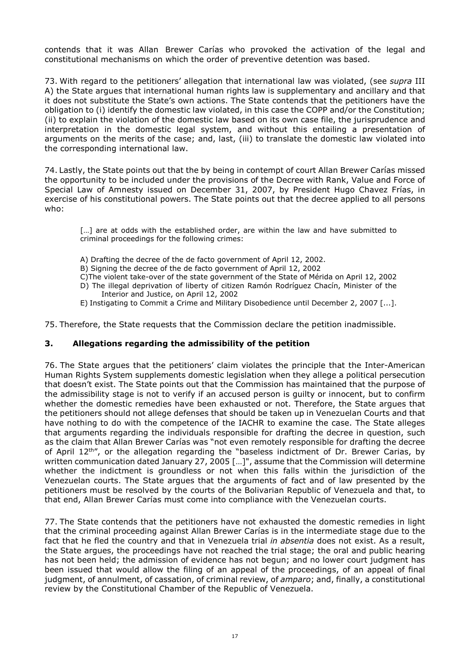contends that it was Allan Brewer Carías who provoked the activation of the legal and constitutional mechanisms on which the order of preventive detention was based.

73. With regard to the petitioners' allegation that international law was violated, (see *supra* III A) the State argues that international human rights law is supplementary and ancillary and that it does not substitute the State's own actions. The State contends that the petitioners have the obligation to (i) identify the domestic law violated, in this case the COPP and/or the Constitution; (ii) to explain the violation of the domestic law based on its own case file, the jurisprudence and interpretation in the domestic legal system, and without this entailing a presentation of arguments on the merits of the case; and, last, (iii) to translate the domestic law violated into the corresponding international law.

74. Lastly, the State points out that the by being in contempt of court Allan Brewer Carías missed the opportunity to be included under the provisions of the Decree with Rank, Value and Force of Special Law of Amnesty issued on December 31, 2007, by President Hugo Chavez Frías, in exercise of his constitutional powers. The State points out that the decree applied to all persons who:

[...] are at odds with the established order, are within the law and have submitted to criminal proceedings for the following crimes:

- A) Drafting the decree of the de facto government of April 12, 2002.
- B) Signing the decree of the de facto government of April 12, 2002
- C)The violent take-over of the state government of the State of Mérida on April 12, 2002
- D) The illegal deprivation of liberty of citizen Ramón Rodríguez Chacín, Minister of the Interior and Justice, on April 12, 2002
- E) Instigating to Commit a Crime and Military Disobedience until December 2, 2007 [...].

75. Therefore, the State requests that the Commission declare the petition inadmissible.

#### **3. Allegations regarding the admissibility of the petition**

76. The State argues that the petitioners' claim violates the principle that the Inter-American Human Rights System supplements domestic legislation when they allege a political persecution that doesn't exist. The State points out that the Commission has maintained that the purpose of the admissibility stage is not to verify if an accused person is guilty or innocent, but to confirm whether the domestic remedies have been exhausted or not. Therefore, the State argues that the petitioners should not allege defenses that should be taken up in Venezuelan Courts and that have nothing to do with the competence of the IACHR to examine the case. The State alleges that arguments regarding the individuals responsible for drafting the decree in question, such as the claim that Allan Brewer Carías was "not even remotely responsible for drafting the decree of April 12<sup>th"</sup>, or the allegation regarding the "baseless indictment of Dr. Brewer Carias, by written communication dated January 27, 2005 […]", assume that the Commission will determine whether the indictment is groundless or not when this falls within the jurisdiction of the Venezuelan courts. The State argues that the arguments of fact and of law presented by the petitioners must be resolved by the courts of the Bolivarian Republic of Venezuela and that, to that end, Allan Brewer Carías must come into compliance with the Venezuelan courts.

77. The State contends that the petitioners have not exhausted the domestic remedies in light that the criminal proceeding against Allan Brewer Carías is in the intermediate stage due to the fact that he fled the country and that in Venezuela trial *in absentia* does not exist. As a result, the State argues, the proceedings have not reached the trial stage; the oral and public hearing has not been held; the admission of evidence has not begun; and no lower court judgment has been issued that would allow the filing of an appeal of the proceedings, of an appeal of final judgment, of annulment, of cassation, of criminal review, of *amparo*; and, finally, a constitutional review by the Constitutional Chamber of the Republic of Venezuela.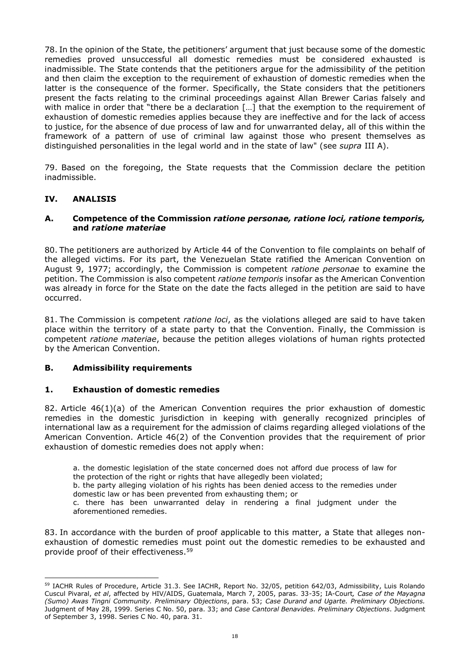78. In the opinion of the State, the petitioners' argument that just because some of the domestic remedies proved unsuccessful all domestic remedies must be considered exhausted is inadmissible. The State contends that the petitioners argue for the admissibility of the petition and then claim the exception to the requirement of exhaustion of domestic remedies when the latter is the consequence of the former. Specifically, the State considers that the petitioners present the facts relating to the criminal proceedings against Allan Brewer Carias falsely and with malice in order that "there be a declaration [...] that the exemption to the requirement of exhaustion of domestic remedies applies because they are ineffective and for the lack of access to justice, for the absence of due process of law and for unwarranted delay, all of this within the framework of a pattern of use of criminal law against those who present themselves as distinguished personalities in the legal world and in the state of law" (see *supra* III A).

79. Based on the foregoing, the State requests that the Commission declare the petition inadmissible.

### **IV. ANALISIS**

-

#### **A. Competence of the Commission** *ratione personae, ratione loci, ratione temporis,* **and** *ratione materiae*

80. The petitioners are authorized by Article 44 of the Convention to file complaints on behalf of the alleged victims. For its part, the Venezuelan State ratified the American Convention on August 9, 1977; accordingly, the Commission is competent *ratione personae* to examine the petition. The Commission is also competent *ratione temporis* insofar as the American Convention was already in force for the State on the date the facts alleged in the petition are said to have occurred.

81. The Commission is competent *ratione loci*, as the violations alleged are said to have taken place within the territory of a state party to that the Convention. Finally, the Commission is competent *ratione materiae*, because the petition alleges violations of human rights protected by the American Convention.

#### **B. Admissibility requirements**

#### **1. Exhaustion of domestic remedies**

82. Article 46(1)(a) of the American Convention requires the prior exhaustion of domestic remedies in the domestic jurisdiction in keeping with generally recognized principles of international law as a requirement for the admission of claims regarding alleged violations of the American Convention. Article 46(2) of the Convention provides that the requirement of prior exhaustion of domestic remedies does not apply when:

a. the domestic legislation of the state concerned does not afford due process of law for the protection of the right or rights that have allegedly been violated;

b. the party alleging violation of his rights has been denied access to the remedies under domestic law or has been prevented from exhausting them; or

c. there has been unwarranted delay in rendering a final judgment under the aforementioned remedies.

83. In accordance with the burden of proof applicable to this matter, a State that alleges nonexhaustion of domestic remedies must point out the domestic remedies to be exhausted and provide proof of their effectiveness.<sup>59</sup>

<sup>59</sup> IACHR Rules of Procedure, Article 31.3. See IACHR, Report No. 32/05, petition 642/03, Admissibility, Luis Rolando Cuscul Pivaral, *et al*, affected by HIV/AIDS, Guatemala, March 7, 2005, paras. 33-35; IA-Court*, Case of the Mayagna (Sumo) Awas Tingni Community. Preliminary Objections*, para. 53; *Case Durand and Ugarte. Preliminary Objections.*  Judgment of May 28, 1999. Series C No. 50, para. 33; and *Case Cantoral Benavides. Preliminary Objections*. Judgment of September 3, 1998. Series C No. 40, para. 31.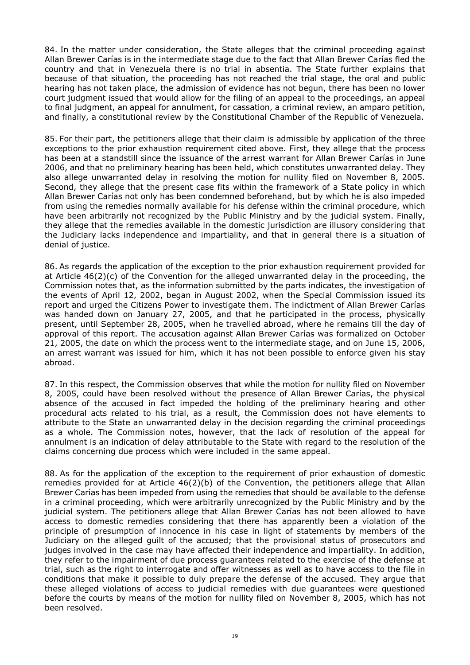84. In the matter under consideration, the State alleges that the criminal proceeding against Allan Brewer Carías is in the intermediate stage due to the fact that Allan Brewer Carías fled the country and that in Venezuela there is no trial in absentia. The State further explains that because of that situation, the proceeding has not reached the trial stage, the oral and public hearing has not taken place, the admission of evidence has not begun, there has been no lower court judgment issued that would allow for the filing of an appeal to the proceedings, an appeal to final judgment, an appeal for annulment, for cassation, a criminal review, an amparo petition, and finally, a constitutional review by the Constitutional Chamber of the Republic of Venezuela.

85. For their part, the petitioners allege that their claim is admissible by application of the three exceptions to the prior exhaustion requirement cited above. First, they allege that the process has been at a standstill since the issuance of the arrest warrant for Allan Brewer Carías in June 2006, and that no preliminary hearing has been held, which constitutes unwarranted delay. They also allege unwarranted delay in resolving the motion for nullity filed on November 8, 2005. Second, they allege that the present case fits within the framework of a State policy in which Allan Brewer Carías not only has been condemned beforehand, but by which he is also impeded from using the remedies normally available for his defense within the criminal procedure, which have been arbitrarily not recognized by the Public Ministry and by the judicial system. Finally, they allege that the remedies available in the domestic jurisdiction are illusory considering that the Judiciary lacks independence and impartiality, and that in general there is a situation of denial of justice.

86. As regards the application of the exception to the prior exhaustion requirement provided for at Article 46(2)(c) of the Convention for the alleged unwarranted delay in the proceeding, the Commission notes that, as the information submitted by the parts indicates, the investigation of the events of April 12, 2002, began in August 2002, when the Special Commission issued its report and urged the Citizens Power to investigate them. The indictment of Allan Brewer Carías was handed down on January 27, 2005, and that he participated in the process, physically present, until September 28, 2005, when he travelled abroad, where he remains till the day of approval of this report. The accusation against Allan Brewer Carías was formalized on October 21, 2005, the date on which the process went to the intermediate stage, and on June 15, 2006, an arrest warrant was issued for him, which it has not been possible to enforce given his stay abroad.

87. In this respect, the Commission observes that while the motion for nullity filed on November 8, 2005, could have been resolved without the presence of Allan Brewer Carías, the physical absence of the accused in fact impeded the holding of the preliminary hearing and other procedural acts related to his trial, as a result, the Commission does not have elements to attribute to the State an unwarranted delay in the decision regarding the criminal proceedings as a whole. The Commission notes, however, that the lack of resolution of the appeal for annulment is an indication of delay attributable to the State with regard to the resolution of the claims concerning due process which were included in the same appeal.

88. As for the application of the exception to the requirement of prior exhaustion of domestic remedies provided for at Article 46(2)(b) of the Convention, the petitioners allege that Allan Brewer Carías has been impeded from using the remedies that should be available to the defense in a criminal proceeding, which were arbitrarily unrecognized by the Public Ministry and by the judicial system. The petitioners allege that Allan Brewer Carías has not been allowed to have access to domestic remedies considering that there has apparently been a violation of the principle of presumption of innocence in his case in light of statements by members of the Judiciary on the alleged guilt of the accused; that the provisional status of prosecutors and judges involved in the case may have affected their independence and impartiality. In addition, they refer to the impairment of due process guarantees related to the exercise of the defense at trial, such as the right to interrogate and offer witnesses as well as to have access to the file in conditions that make it possible to duly prepare the defense of the accused. They argue that these alleged violations of access to judicial remedies with due guarantees were questioned before the courts by means of the motion for nullity filed on November 8, 2005, which has not been resolved.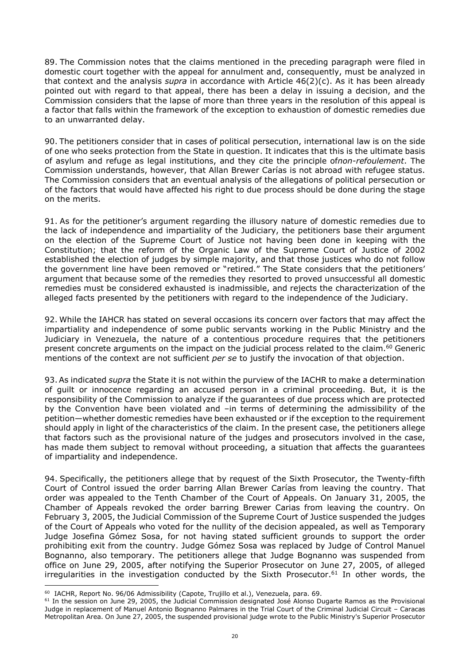89. The Commission notes that the claims mentioned in the preceding paragraph were filed in domestic court together with the appeal for annulment and, consequently, must be analyzed in that context and the analysis *supra* in accordance with Article 46(2)(c). As it has been already pointed out with regard to that appeal, there has been a delay in issuing a decision, and the Commission considers that the lapse of more than three years in the resolution of this appeal is a factor that falls within the framework of the exception to exhaustion of domestic remedies due to an unwarranted delay.

90. The petitioners consider that in cases of political persecution, international law is on the side of one who seeks protection from the State in question. It indicates that this is the ultimate basis of asylum and refuge as legal institutions, and they cite the principle of*non-refoulement*. The Commission understands, however, that Allan Brewer Carías is not abroad with refugee status. The Commission considers that an eventual analysis of the allegations of political persecution or of the factors that would have affected his right to due process should be done during the stage on the merits.

91. As for the petitioner's argument regarding the illusory nature of domestic remedies due to the lack of independence and impartiality of the Judiciary, the petitioners base their argument on the election of the Supreme Court of Justice not having been done in keeping with the Constitution; that the reform of the Organic Law of the Supreme Court of Justice of 2002 established the election of judges by simple majority, and that those justices who do not follow the government line have been removed or "retired." The State considers that the petitioners' argument that because some of the remedies they resorted to proved unsuccessful all domestic remedies must be considered exhausted is inadmissible, and rejects the characterization of the alleged facts presented by the petitioners with regard to the independence of the Judiciary.

92. While the IAHCR has stated on several occasions its concern over factors that may affect the impartiality and independence of some public servants working in the Public Ministry and the Judiciary in Venezuela, the nature of a contentious procedure requires that the petitioners present concrete arguments on the impact on the judicial process related to the claim.<sup>60</sup> Generic mentions of the context are not sufficient *per se* to justify the invocation of that objection.

93. As indicated *supra* the State it is not within the purview of the IACHR to make a determination of guilt or innocence regarding an accused person in a criminal proceeding. But, it is the responsibility of the Commission to analyze if the guarantees of due process which are protected by the Convention have been violated and –in terms of determining the admissibility of the petition—whether domestic remedies have been exhausted or if the exception to the requirement should apply in light of the characteristics of the claim. In the present case, the petitioners allege that factors such as the provisional nature of the judges and prosecutors involved in the case, has made them subject to removal without proceeding, a situation that affects the guarantees of impartiality and independence.

94. Specifically, the petitioners allege that by request of the Sixth Prosecutor, the Twenty-fifth Court of Control issued the order barring Allan Brewer Carías from leaving the country. That order was appealed to the Tenth Chamber of the Court of Appeals. On January 31, 2005, the Chamber of Appeals revoked the order barring Brewer Carias from leaving the country. On February 3, 2005, the Judicial Commission of the Supreme Court of Justice suspended the judges of the Court of Appeals who voted for the nullity of the decision appealed, as well as Temporary Judge Josefina Gómez Sosa, for not having stated sufficient grounds to support the order prohibiting exit from the country. Judge Gómez Sosa was replaced by Judge of Control Manuel Bognanno, also temporary. The petitioners allege that Judge Bognanno was suspended from office on June 29, 2005, after notifying the Superior Prosecutor on June 27, 2005, of alleged irregularities in the investigation conducted by the Sixth Prosecutor.<sup>61</sup> In other words, the

<sup>&</sup>lt;sup>60</sup> IACHR, Report No. 96/06 Admissibility (Capote, Trujillo et al.), Venezuela, para. 69.

<sup>&</sup>lt;sup>61</sup> In the session on June 29, 2005, the Judicial Commission designated José Alonso Dugarte Ramos as the Provisional Judge in replacement of Manuel Antonio Bognanno Palmares in the Trial Court of the Criminal Judicial Circuit – Caracas Metropolitan Area. On June 27, 2005, the suspended provisional judge wrote to the Public Ministry's Superior Prosecutor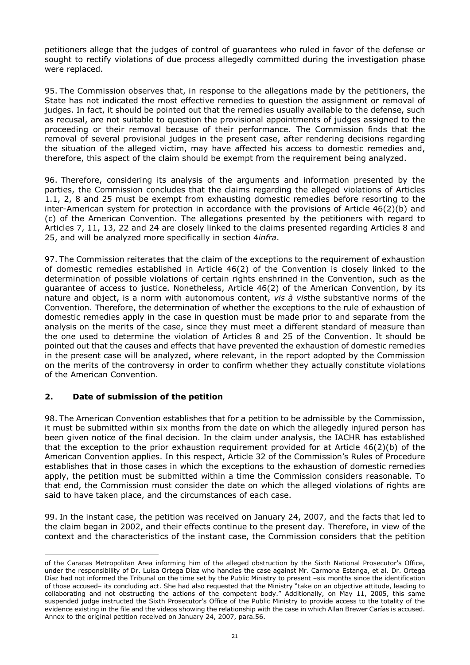petitioners allege that the judges of control of guarantees who ruled in favor of the defense or sought to rectify violations of due process allegedly committed during the investigation phase were replaced.

95. The Commission observes that, in response to the allegations made by the petitioners, the State has not indicated the most effective remedies to question the assignment or removal of judges. In fact, it should be pointed out that the remedies usually available to the defense, such as recusal, are not suitable to question the provisional appointments of judges assigned to the proceeding or their removal because of their performance. The Commission finds that the removal of several provisional judges in the present case, after rendering decisions regarding the situation of the alleged victim, may have affected his access to domestic remedies and, therefore, this aspect of the claim should be exempt from the requirement being analyzed.

96. Therefore, considering its analysis of the arguments and information presented by the parties, the Commission concludes that the claims regarding the alleged violations of Articles 1.1, 2, 8 and 25 must be exempt from exhausting domestic remedies before resorting to the inter-American system for protection in accordance with the provisions of Article 46(2)(b) and (c) of the American Convention. The allegations presented by the petitioners with regard to Articles 7, 11, 13, 22 and 24 are closely linked to the claims presented regarding Articles 8 and 25, and will be analyzed more specifically in section 4*infra*.

97. The Commission reiterates that the claim of the exceptions to the requirement of exhaustion of domestic remedies established in Article 46(2) of the Convention is closely linked to the determination of possible violations of certain rights enshrined in the Convention, such as the guarantee of access to justice. Nonetheless, Article 46(2) of the American Convention, by its nature and object, is a norm with autonomous content, *vis à vis*the substantive norms of the Convention. Therefore, the determination of whether the exceptions to the rule of exhaustion of domestic remedies apply in the case in question must be made prior to and separate from the analysis on the merits of the case, since they must meet a different standard of measure than the one used to determine the violation of Articles 8 and 25 of the Convention. It should be pointed out that the causes and effects that have prevented the exhaustion of domestic remedies in the present case will be analyzed, where relevant, in the report adopted by the Commission on the merits of the controversy in order to confirm whether they actually constitute violations of the American Convention.

### **2. Date of submission of the petition**

98. The American Convention establishes that for a petition to be admissible by the Commission, it must be submitted within six months from the date on which the allegedly injured person has been given notice of the final decision. In the claim under analysis, the IACHR has established that the exception to the prior exhaustion requirement provided for at Article  $46(2)(b)$  of the American Convention applies. In this respect, Article 32 of the Commission's Rules of Procedure establishes that in those cases in which the exceptions to the exhaustion of domestic remedies apply, the petition must be submitted within a time the Commission considers reasonable. To that end, the Commission must consider the date on which the alleged violations of rights are said to have taken place, and the circumstances of each case.

99. In the instant case, the petition was received on January 24, 2007, and the facts that led to the claim began in 2002, and their effects continue to the present day. Therefore, in view of the context and the characteristics of the instant case, the Commission considers that the petition

of the Caracas Metropolitan Area informing him of the alleged obstruction by the Sixth National Prosecutor's Office, under the responsibility of Dr. Luisa Ortega Díaz who handles the case against Mr. Carmona Estanga, et al. Dr. Ortega Díaz had not informed the Tribunal on the time set by the Public Ministry to present –six months since the identification of those accused– its concluding act. She had also requested that the Ministry "take on an objective attitude, leading to collaborating and not obstructing the actions of the competent body." Additionally, on May 11, 2005, this same suspended judge instructed the Sixth Prosecutor's Office of the Public Ministry to provide access to the totality of the evidence existing in the file and the videos showing the relationship with the case in which Allan Brewer Carías is accused. Annex to the original petition received on January 24, 2007, para.56.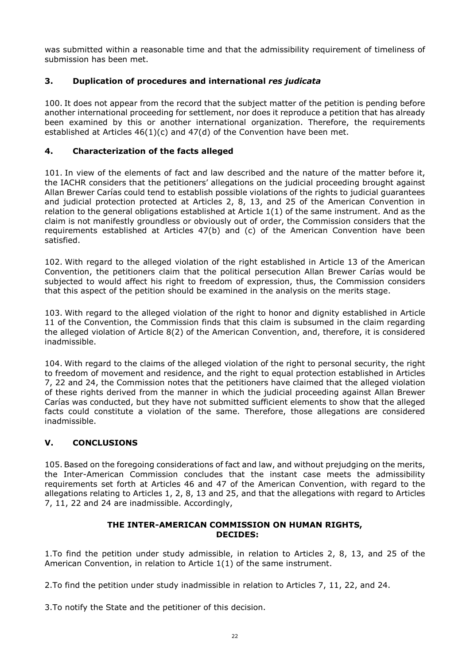was submitted within a reasonable time and that the admissibility requirement of timeliness of submission has been met.

## **3. Duplication of procedures and international** *res judicata*

100. It does not appear from the record that the subject matter of the petition is pending before another international proceeding for settlement, nor does it reproduce a petition that has already been examined by this or another international organization. Therefore, the requirements established at Articles 46(1)(c) and 47(d) of the Convention have been met.

## **4. Characterization of the facts alleged**

101. In view of the elements of fact and law described and the nature of the matter before it, the IACHR considers that the petitioners' allegations on the judicial proceeding brought against Allan Brewer Carías could tend to establish possible violations of the rights to judicial guarantees and judicial protection protected at Articles 2, 8, 13, and 25 of the American Convention in relation to the general obligations established at Article 1(1) of the same instrument. And as the claim is not manifestly groundless or obviously out of order, the Commission considers that the requirements established at Articles 47(b) and (c) of the American Convention have been satisfied.

102. With regard to the alleged violation of the right established in Article 13 of the American Convention, the petitioners claim that the political persecution Allan Brewer Carías would be subjected to would affect his right to freedom of expression, thus, the Commission considers that this aspect of the petition should be examined in the analysis on the merits stage.

103. With regard to the alleged violation of the right to honor and dignity established in Article 11 of the Convention, the Commission finds that this claim is subsumed in the claim regarding the alleged violation of Article 8(2) of the American Convention, and, therefore, it is considered inadmissible.

104. With regard to the claims of the alleged violation of the right to personal security, the right to freedom of movement and residence, and the right to equal protection established in Articles 7, 22 and 24, the Commission notes that the petitioners have claimed that the alleged violation of these rights derived from the manner in which the judicial proceeding against Allan Brewer Carías was conducted, but they have not submitted sufficient elements to show that the alleged facts could constitute a violation of the same. Therefore, those allegations are considered inadmissible.

# **V. CONCLUSIONS**

105. Based on the foregoing considerations of fact and law, and without prejudging on the merits, the Inter-American Commission concludes that the instant case meets the admissibility requirements set forth at Articles 46 and 47 of the American Convention, with regard to the allegations relating to Articles 1, 2, 8, 13 and 25, and that the allegations with regard to Articles 7, 11, 22 and 24 are inadmissible. Accordingly,

### **THE INTER-AMERICAN COMMISSION ON HUMAN RIGHTS, DECIDES:**

1.To find the petition under study admissible, in relation to Articles 2, 8, 13, and 25 of the American Convention, in relation to Article 1(1) of the same instrument.

2.To find the petition under study inadmissible in relation to Articles 7, 11, 22, and 24.

3.To notify the State and the petitioner of this decision.